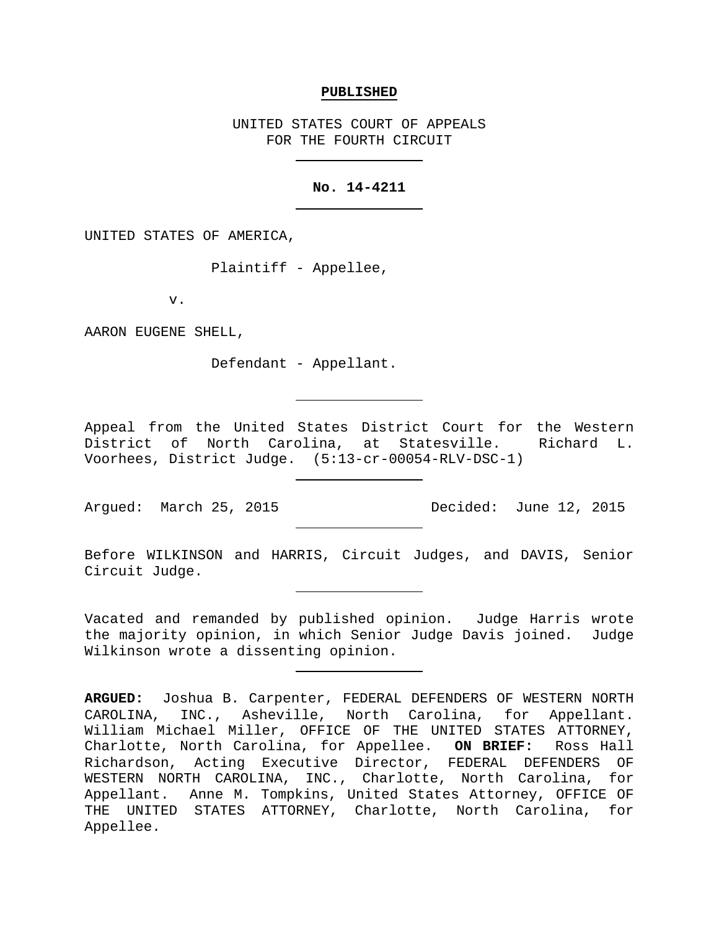#### **PUBLISHED**

UNITED STATES COURT OF APPEALS FOR THE FOURTH CIRCUIT

## **No. 14-4211**

UNITED STATES OF AMERICA,

Plaintiff - Appellee,

v.

AARON EUGENE SHELL,

Defendant - Appellant.

Appeal from the United States District Court for the Western District of North Carolina, at Statesville. Richard L. Voorhees, District Judge. (5:13-cr-00054-RLV-DSC-1)

Before WILKINSON and HARRIS, Circuit Judges, and DAVIS, Senior Circuit Judge.

Vacated and remanded by published opinion. Judge Harris wrote the majority opinion, in which Senior Judge Davis joined. Judge Wilkinson wrote a dissenting opinion.

Argued: March 25, 2015 Decided: June 12, 2015

**ARGUED:** Joshua B. Carpenter, FEDERAL DEFENDERS OF WESTERN NORTH CAROLINA, INC., Asheville, North Carolina, for Appellant. William Michael Miller, OFFICE OF THE UNITED STATES ATTORNEY, Charlotte, North Carolina, for Appellee. **ON BRIEF:** Ross Hall Richardson, Acting Executive Director, FEDERAL DEFENDERS OF WESTERN NORTH CAROLINA, INC., Charlotte, North Carolina, for Appellant. Anne M. Tompkins, United States Attorney, OFFICE OF THE UNITED STATES ATTORNEY, Charlotte, North Carolina, for Appellee.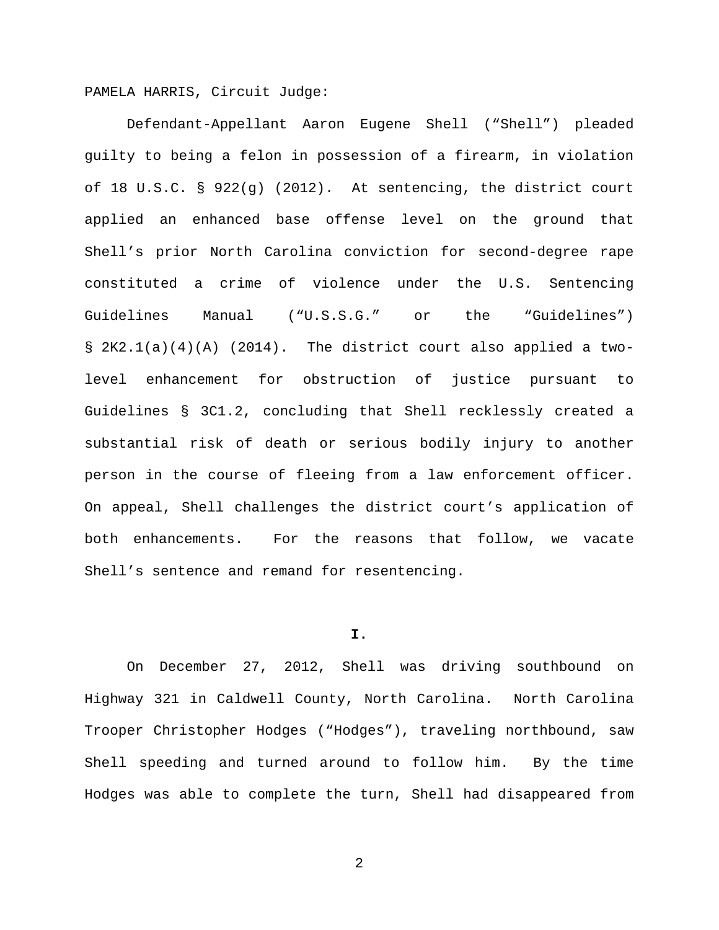PAMELA HARRIS, Circuit Judge:

Defendant-Appellant Aaron Eugene Shell ("Shell") pleaded guilty to being a felon in possession of a firearm, in violation of 18 U.S.C. § 922(g) (2012). At sentencing, the district court applied an enhanced base offense level on the ground that Shell's prior North Carolina conviction for second-degree rape constituted a crime of violence under the U.S. Sentencing Guidelines Manual ("U.S.S.G." or the "Guidelines") § 2K2.1(a)(4)(A) (2014). The district court also applied a twolevel enhancement for obstruction of justice pursuant to Guidelines § 3C1.2, concluding that Shell recklessly created a substantial risk of death or serious bodily injury to another person in the course of fleeing from a law enforcement officer. On appeal, Shell challenges the district court's application of both enhancements. For the reasons that follow, we vacate Shell's sentence and remand for resentencing.

#### **I.**

On December 27, 2012, Shell was driving southbound on Highway 321 in Caldwell County, North Carolina. North Carolina Trooper Christopher Hodges ("Hodges"), traveling northbound, saw Shell speeding and turned around to follow him. By the time Hodges was able to complete the turn, Shell had disappeared from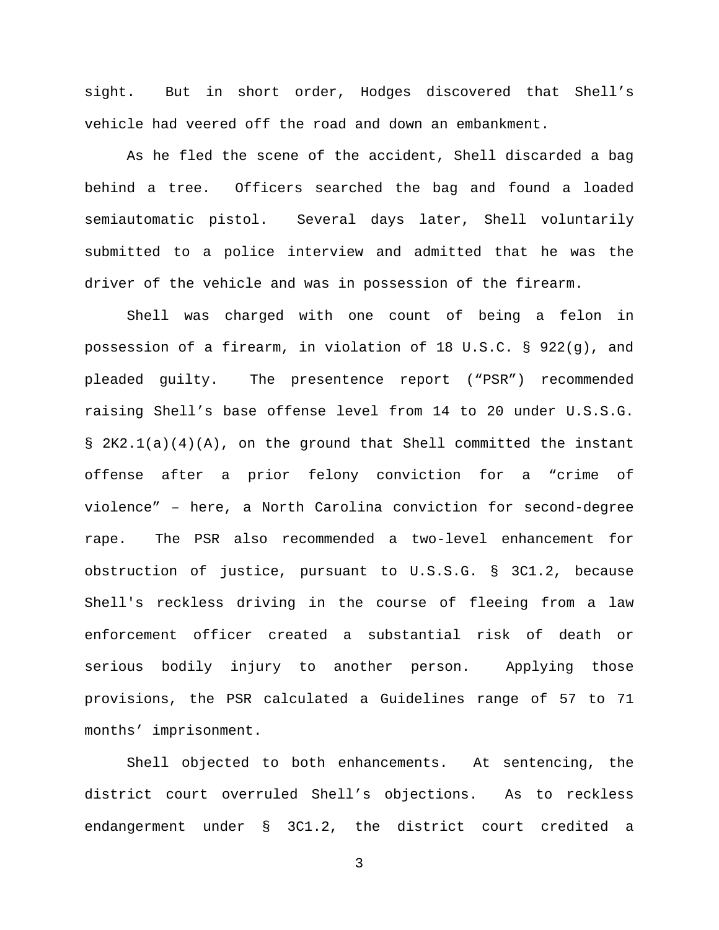sight. But in short order, Hodges discovered that Shell's vehicle had veered off the road and down an embankment.

As he fled the scene of the accident, Shell discarded a bag behind a tree. Officers searched the bag and found a loaded semiautomatic pistol. Several days later, Shell voluntarily submitted to a police interview and admitted that he was the driver of the vehicle and was in possession of the firearm.

Shell was charged with one count of being a felon in possession of a firearm, in violation of 18 U.S.C. § 922(g), and pleaded guilty. The presentence report ("PSR") recommended raising Shell's base offense level from 14 to 20 under U.S.S.G.  $\S$  2K2.1(a)(4)(A), on the ground that Shell committed the instant offense after a prior felony conviction for a "crime of violence" – here, a North Carolina conviction for second-degree rape. The PSR also recommended a two-level enhancement for obstruction of justice, pursuant to U.S.S.G. § 3C1.2, because Shell's reckless driving in the course of fleeing from a law enforcement officer created a substantial risk of death or serious bodily injury to another person. Applying those provisions, the PSR calculated a Guidelines range of 57 to 71 months' imprisonment.

Shell objected to both enhancements. At sentencing, the district court overruled Shell's objections. As to reckless endangerment under § 3C1.2, the district court credited a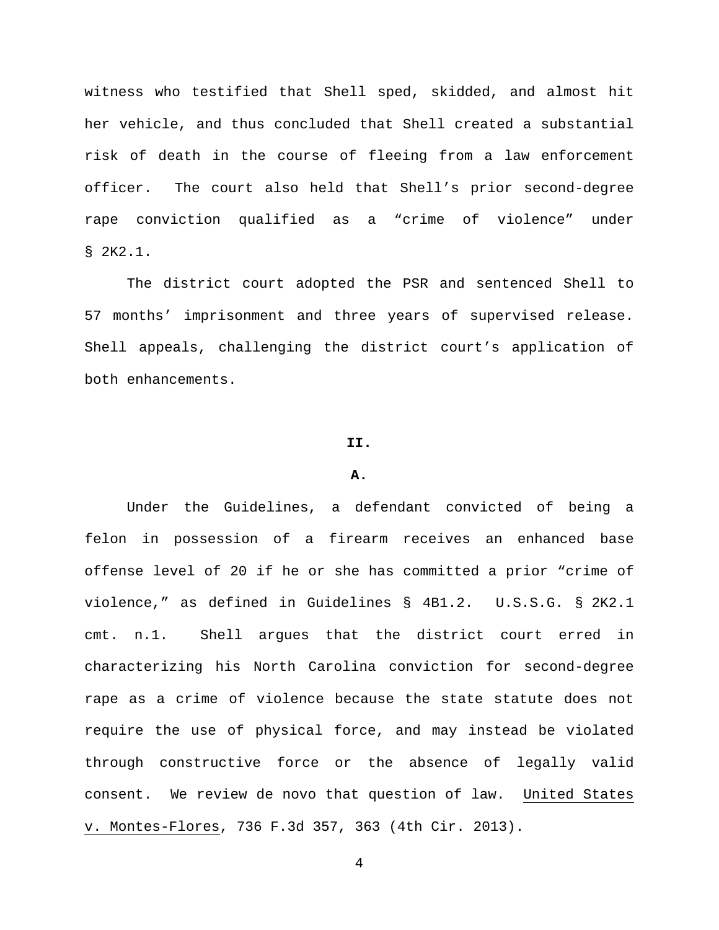witness who testified that Shell sped, skidded, and almost hit her vehicle, and thus concluded that Shell created a substantial risk of death in the course of fleeing from a law enforcement officer. The court also held that Shell's prior second-degree rape conviction qualified as a "crime of violence" under § 2K2.1.

The district court adopted the PSR and sentenced Shell to 57 months' imprisonment and three years of supervised release. Shell appeals, challenging the district court's application of both enhancements.

#### **II.**

### **A.**

Under the Guidelines, a defendant convicted of being a felon in possession of a firearm receives an enhanced base offense level of 20 if he or she has committed a prior "crime of violence," as defined in Guidelines § 4B1.2. U.S.S.G. § 2K2.1 cmt. n.1. Shell argues that the district court erred in characterizing his North Carolina conviction for second-degree rape as a crime of violence because the state statute does not require the use of physical force, and may instead be violated through constructive force or the absence of legally valid consent. We review de novo that question of law. United States v. Montes-Flores, 736 F.3d 357, 363 (4th Cir. 2013).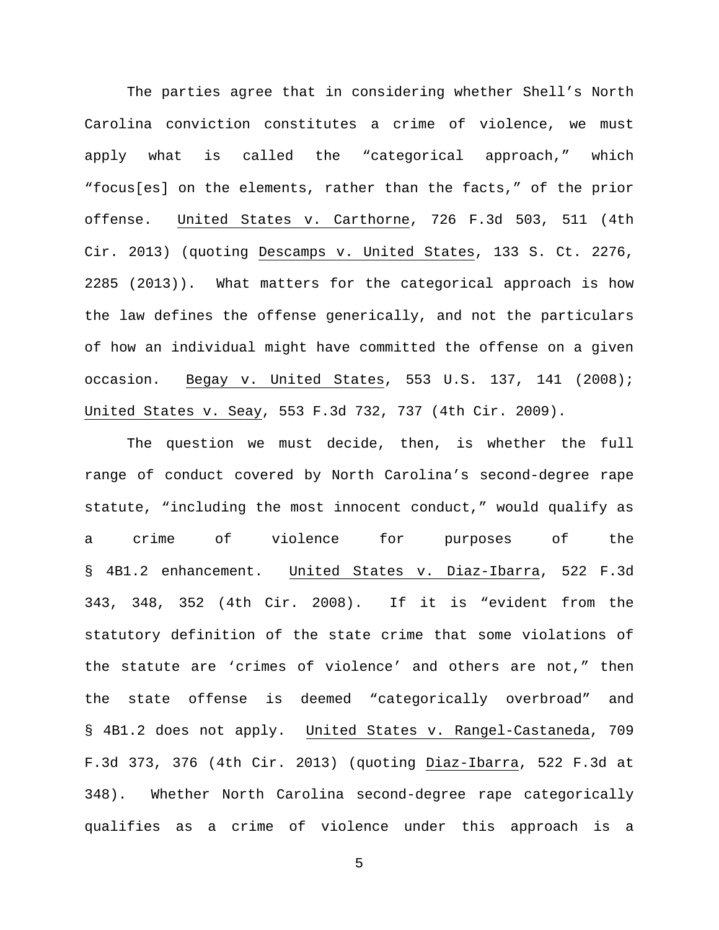The parties agree that in considering whether Shell's North Carolina conviction constitutes a crime of violence, we must apply what is called the "categorical approach," which "focus[es] on the elements, rather than the facts," of the prior offense. United States v. Carthorne, 726 F.3d 503, 511 (4th Cir. 2013) (quoting Descamps v. United States, 133 S. Ct. 2276, 2285 (2013)). What matters for the categorical approach is how the law defines the offense generically, and not the particulars of how an individual might have committed the offense on a given occasion. Begay v. United States, 553 U.S. 137, 141 (2008); United States v. Seay, 553 F.3d 732, 737 (4th Cir. 2009).

The question we must decide, then, is whether the full range of conduct covered by North Carolina's second-degree rape statute, "including the most innocent conduct," would qualify as a crime of violence for purposes of the § 4B1.2 enhancement. United States v. Diaz-Ibarra, 522 F.3d 343, 348, 352 (4th Cir. 2008). If it is "evident from the statutory definition of the state crime that some violations of the statute are 'crimes of violence' and others are not," then the state offense is deemed "categorically overbroad" and § 4B1.2 does not apply. United States v. Rangel-Castaneda, 709 F.3d 373, 376 (4th Cir. 2013) (quoting Diaz-Ibarra, 522 F.3d at 348). Whether North Carolina second-degree rape categorically qualifies as a crime of violence under this approach is a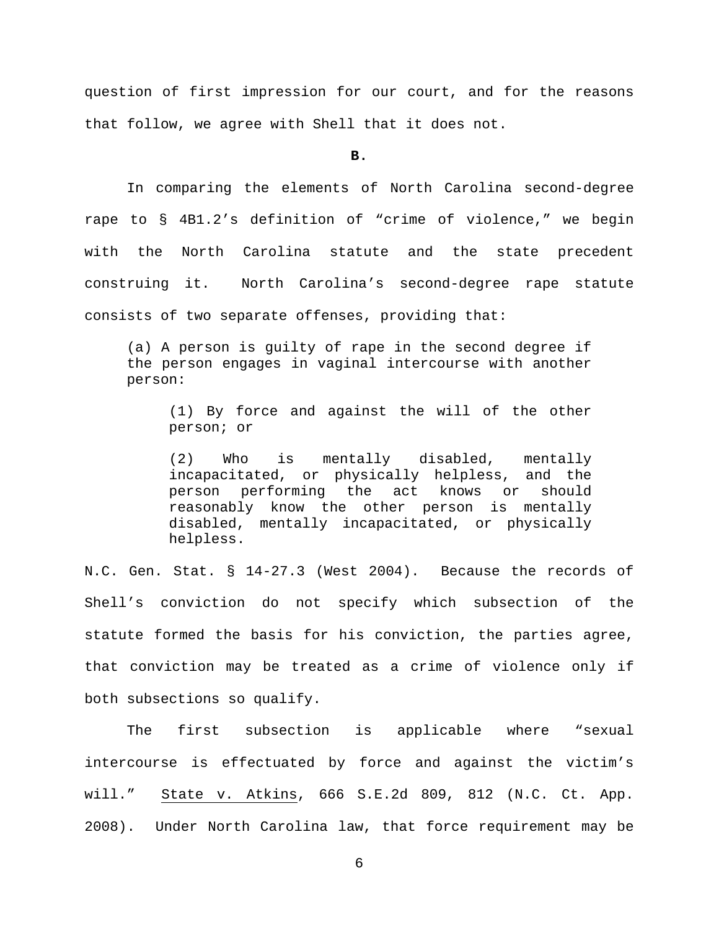question of first impression for our court, and for the reasons that follow, we agree with Shell that it does not.

**B.**

In comparing the elements of North Carolina second-degree rape to § 4B1.2's definition of "crime of violence," we begin with the North Carolina statute and the state precedent construing it. North Carolina's second-degree rape statute consists of two separate offenses, providing that:

(a) A person is guilty of rape in the second degree if the person engages in vaginal intercourse with another person:

(1) By force and against the will of the other person; or

(2) Who is mentally disabled, mentally incapacitated, or physically helpless, and the<br>person performing the act knows or should person performing the act knows or reasonably know the other person is mentally disabled, mentally incapacitated, or physically helpless.

N.C. Gen. Stat. § 14-27.3 (West 2004). Because the records of Shell's conviction do not specify which subsection of the statute formed the basis for his conviction, the parties agree, that conviction may be treated as a crime of violence only if both subsections so qualify.

The first subsection is applicable where "sexual intercourse is effectuated by force and against the victim's will." State v. Atkins, 666 S.E.2d 809, 812 (N.C. Ct. App. 2008). Under North Carolina law, that force requirement may be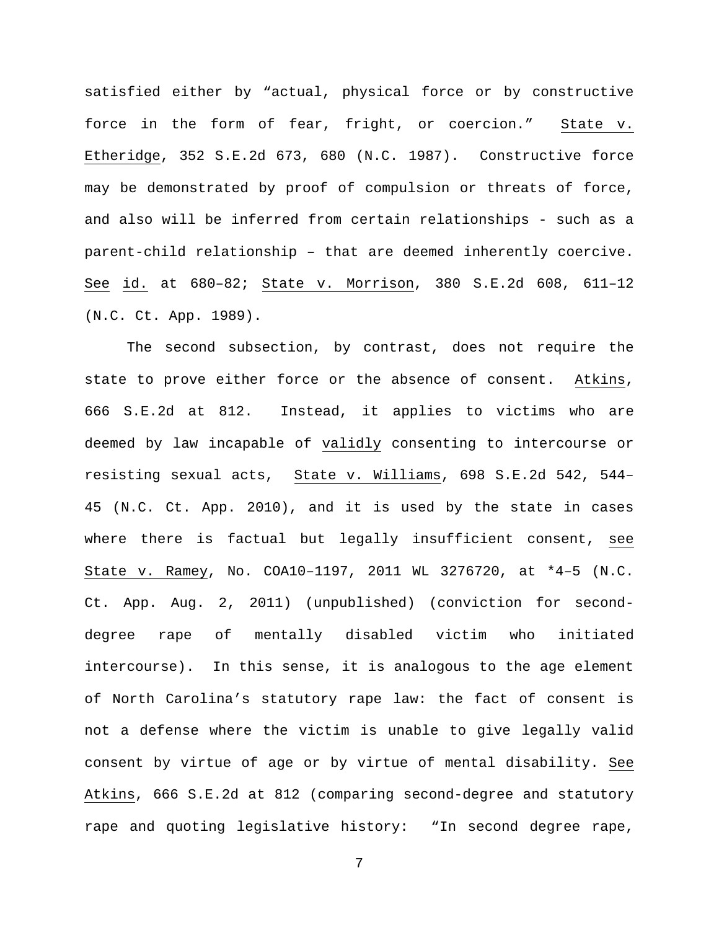satisfied either by "actual, physical force or by constructive force in the form of fear, fright, or coercion." State v. Etheridge, 352 S.E.2d 673, 680 (N.C. 1987). Constructive force may be demonstrated by proof of compulsion or threats of force, and also will be inferred from certain relationships - such as a parent-child relationship – that are deemed inherently coercive. See id. at 680–82; State v. Morrison, 380 S.E.2d 608, 611–12 (N.C. Ct. App. 1989).

The second subsection, by contrast, does not require the state to prove either force or the absence of consent. Atkins, 666 S.E.2d at 812. Instead, it applies to victims who are deemed by law incapable of validly consenting to intercourse or resisting sexual acts, State v. Williams, 698 S.E.2d 542, 544– 45 (N.C. Ct. App. 2010), and it is used by the state in cases where there is factual but legally insufficient consent, see State v. Ramey, No. COA10–1197, 2011 WL 3276720, at \*4–5 (N.C. Ct. App. Aug. 2, 2011) (unpublished) (conviction for seconddegree rape of mentally disabled victim who initiated intercourse). In this sense, it is analogous to the age element of North Carolina's statutory rape law: the fact of consent is not a defense where the victim is unable to give legally valid consent by virtue of age or by virtue of mental disability. See Atkins, 666 S.E.2d at 812 (comparing second-degree and statutory rape and quoting legislative history: "In second degree rape,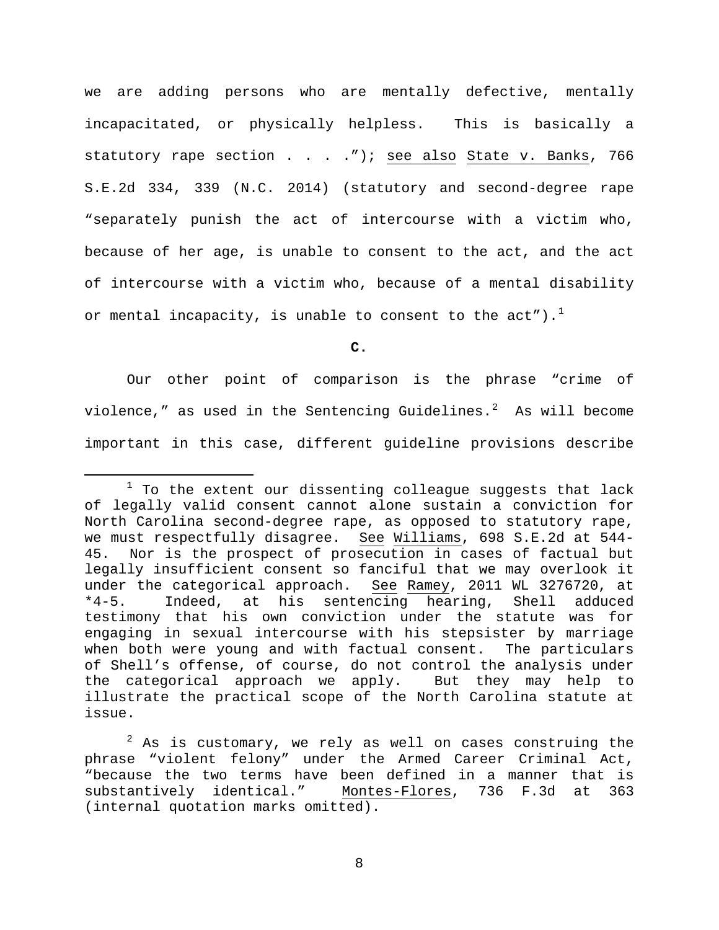we are adding persons who are mentally defective, mentally incapacitated, or physically helpless. This is basically a statutory rape section . . . . "); see also State v. Banks, 766 S.E.2d 334, 339 (N.C. 2014) (statutory and second-degree rape "separately punish the act of intercourse with a victim who, because of her age, is unable to consent to the act, and the act of intercourse with a victim who, because of a mental disability or mental incapacity, is unable to consent to the  $act'$ ).<sup>[1](#page-7-0)</sup>

**C.**

Our other point of comparison is the phrase "crime of violence," as used in the Sentencing Guidelines. $^2$  $^2$  As will become important in this case, different guideline provisions describe

<span id="page-7-0"></span> $1$  To the extent our dissenting colleague suggests that lack of legally valid consent cannot alone sustain a conviction for North Carolina second-degree rape, as opposed to statutory rape, we must respectfully disagree. See Williams, 698 S.E.2d at 544- 45. Nor is the prospect of prosecution in cases of factual but legally insufficient consent so fanciful that we may overlook it<br>under the categorical approach. See Ramey, 2011 WL 3276720, at under the categorical approach.<br>\*4-5. Indeed, at his sente Indeed, at his sentencing hearing, Shell adduced testimony that his own conviction under the statute was for engaging in sexual intercourse with his stepsister by marriage when both were young and with factual consent. The particulars of Shell's offense, of course, do not control the analysis under the categorical approach we apply. But they may help to illustrate the practical scope of the North Carolina statute at issue.

<span id="page-7-1"></span> $2$  As is customary, we rely as well on cases construing the phrase "violent felony" under the Armed Career Criminal Act, "because the two terms have been defined in a manner that is substantively identical." Montes-Flores, 736 F.3d at 363 (internal quotation marks omitted).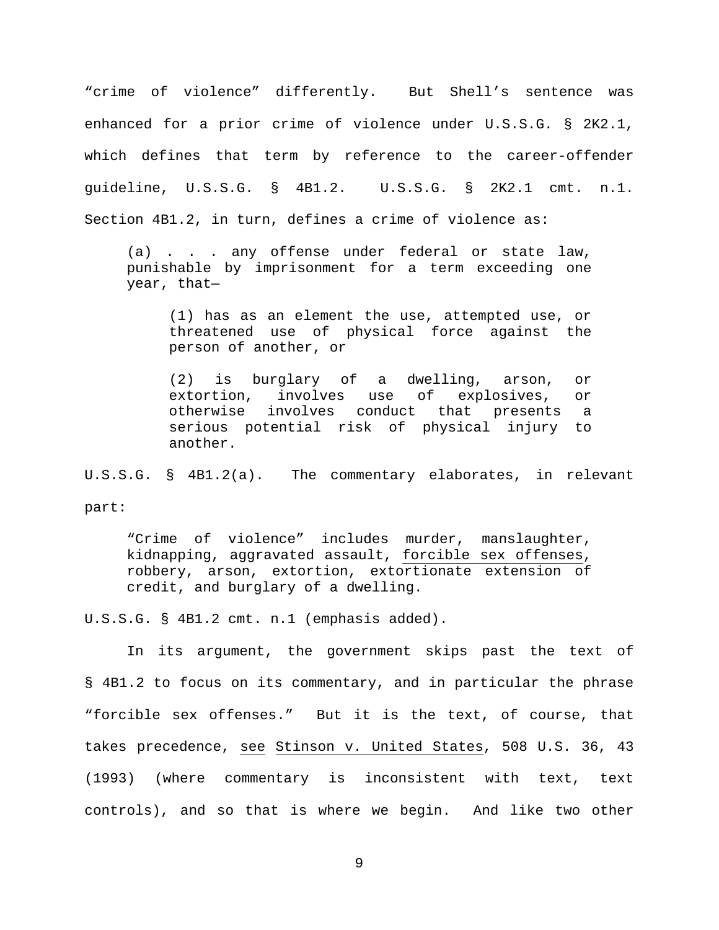"crime of violence" differently. But Shell's sentence was enhanced for a prior crime of violence under U.S.S.G. § 2K2.1, which defines that term by reference to the career-offender guideline, U.S.S.G. § 4B1.2. U.S.S.G. § 2K2.1 cmt. n.1. Section 4B1.2, in turn, defines a crime of violence as:

(a) . . . any offense under federal or state law, punishable by imprisonment for a term exceeding one year, that—

(1) has as an element the use, attempted use, or threatened use of physical force against the person of another, or

(2) is burglary of a dwelling, arson, or involves use of explosives, or otherwise involves conduct that presents a serious potential risk of physical injury to another.

U.S.S.G. § 4B1.2(a). The commentary elaborates, in relevant part:

"Crime of violence" includes murder, manslaughter, kidnapping, aggravated assault, forcible sex offenses, robbery, arson, extortion, extortionate extension of credit, and burglary of a dwelling.

U.S.S.G. § 4B1.2 cmt. n.1 (emphasis added).

In its argument, the government skips past the text of § 4B1.2 to focus on its commentary, and in particular the phrase "forcible sex offenses." But it is the text, of course, that takes precedence, see Stinson v. United States, 508 U.S. 36, 43 (1993) (where commentary is inconsistent with text, text controls), and so that is where we begin. And like two other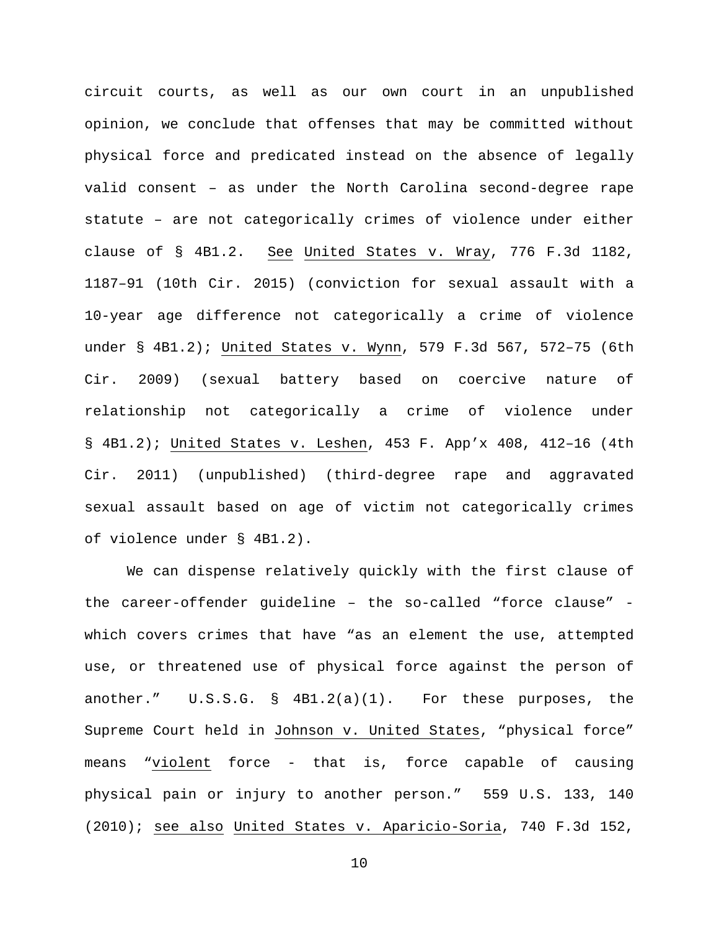circuit courts, as well as our own court in an unpublished opinion, we conclude that offenses that may be committed without physical force and predicated instead on the absence of legally valid consent – as under the North Carolina second-degree rape statute – are not categorically crimes of violence under either clause of § 4B1.2. See United States v. Wray, 776 F.3d 1182, 1187–91 (10th Cir. 2015) (conviction for sexual assault with a 10-year age difference not categorically a crime of violence under § 4B1.2); United States v. Wynn, 579 F.3d 567, 572–75 (6th Cir. 2009) (sexual battery based on coercive nature of relationship not categorically a crime of violence under § 4B1.2); United States v. Leshen, 453 F. App'x 408, 412–16 (4th Cir. 2011) (unpublished) (third-degree rape and aggravated sexual assault based on age of victim not categorically crimes of violence under § 4B1.2).

We can dispense relatively quickly with the first clause of the career-offender guideline – the so-called "force clause" which covers crimes that have "as an element the use, attempted use, or threatened use of physical force against the person of another." U.S.S.G. § 4B1.2(a)(1). For these purposes, the Supreme Court held in Johnson v. United States, "physical force" means "violent force - that is, force capable of causing physical pain or injury to another person." 559 U.S. 133, 140 (2010); see also United States v. Aparicio-Soria, 740 F.3d 152,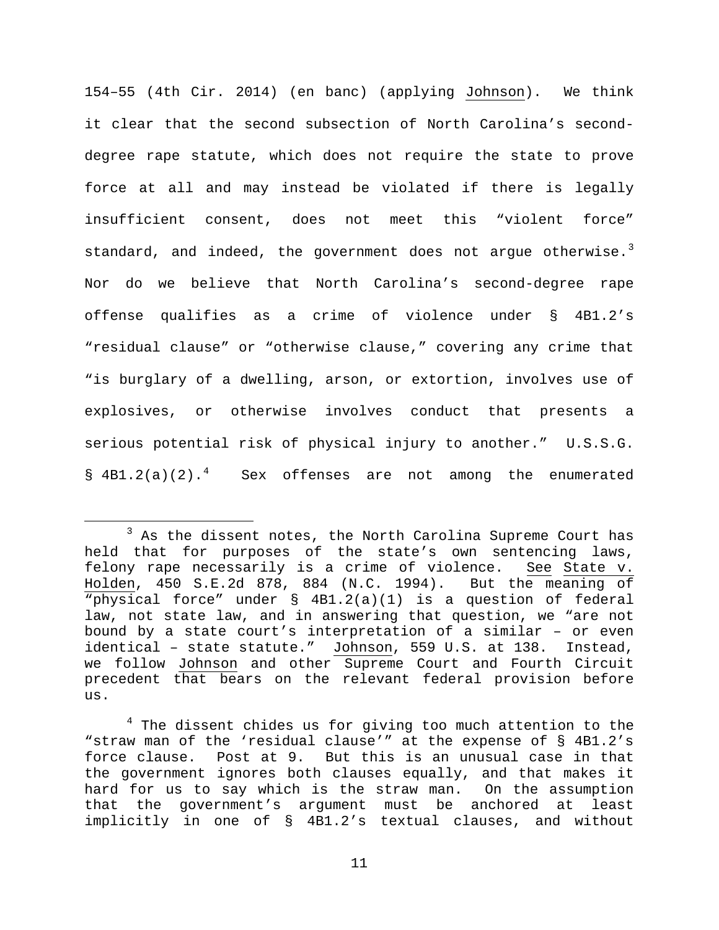154–55 (4th Cir. 2014) (en banc) (applying Johnson). We think it clear that the second subsection of North Carolina's seconddegree rape statute, which does not require the state to prove force at all and may instead be violated if there is legally insufficient consent, does not meet this "violent force" standard, and indeed, the government does not argue otherwise. $^3$  $^3$ Nor do we believe that North Carolina's second-degree rape offense qualifies as a crime of violence under § 4B1.2's "residual clause" or "otherwise clause," covering any crime that "is burglary of a dwelling, arson, or extortion, involves use of explosives, or otherwise involves conduct that presents a serious potential risk of physical injury to another." U.S.S.G.  $\left[\frac{1}{2}\right]$  [4](#page-10-1)B1.2(a)(2).<sup>4</sup> Sex offenses are not among the enumerated

<span id="page-10-0"></span> $3$  As the dissent notes, the North Carolina Supreme Court has held that for purposes of the state's own sentencing laws, felony rape necessarily is a crime of violence. See State v. Holden, 450 S.E.2d 878, 884 (N.C. 1994). But the meaning of "physical force" under § 4B1.2(a)(1) is a question of federal law, not state law, and in answering that question, we "are not bound by a state court's interpretation of a similar – or even identical – state statute." Johnson, 559 U.S. at 138. Instead, we follow Johnson and other Supreme Court and Fourth Circuit precedent that bears on the relevant federal provision before us.

<span id="page-10-1"></span> $4$  The dissent chides us for giving too much attention to the "straw man of the 'residual clause'" at the expense of § 4B1.2's force clause. Post at 9. But this is an unusual case in that the government ignores both clauses equally, and that makes it hard for us to say which is the straw man. On the assumption that the government's argument must be anchored at least implicitly in one of § 4B1.2's textual clauses, and without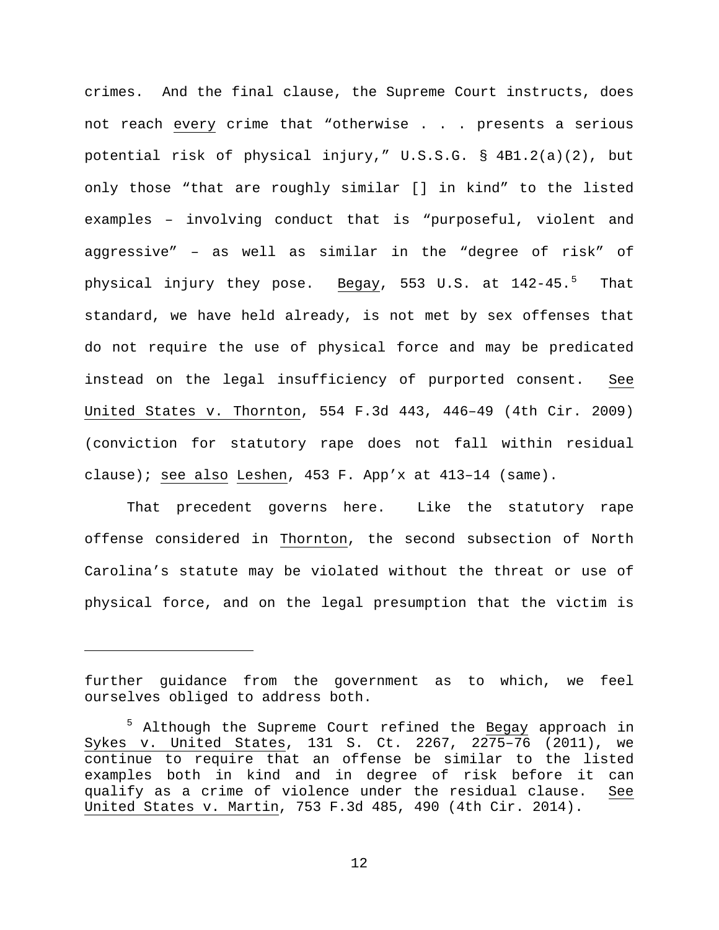crimes. And the final clause, the Supreme Court instructs, does not reach every crime that "otherwise . . . presents a serious potential risk of physical injury," U.S.S.G. § 4B1.2(a)(2), but only those "that are roughly similar [] in kind" to the listed examples – involving conduct that is "purposeful, violent and aggressive" – as well as similar in the "degree of risk" of physical injury they pose. <u>Begay</u>, [5](#page-11-0)53 U.S. at 142-45.<sup>5</sup> That standard, we have held already, is not met by sex offenses that do not require the use of physical force and may be predicated instead on the legal insufficiency of purported consent. See United States v. Thornton, 554 F.3d 443, 446–49 (4th Cir. 2009) (conviction for statutory rape does not fall within residual clause); see also Leshen, 453 F. App'x at 413–14 (same).

That precedent governs here. Like the statutory rape offense considered in Thornton, the second subsection of North Carolina's statute may be violated without the threat or use of physical force, and on the legal presumption that the victim is

Ĩ.

further guidance from the government as to which, we feel ourselves obliged to address both.

<span id="page-11-0"></span><sup>&</sup>lt;sup>5</sup> Although the Supreme Court refined the Begay approach in Sykes v. United States, 131 S. Ct. 2267, 2275–76 (2011), we continue to require that an offense be similar to the listed examples both in kind and in degree of risk before it can qualify as a crime of violence under the residual clause. See United States v. Martin, 753 F.3d 485, 490 (4th Cir. 2014).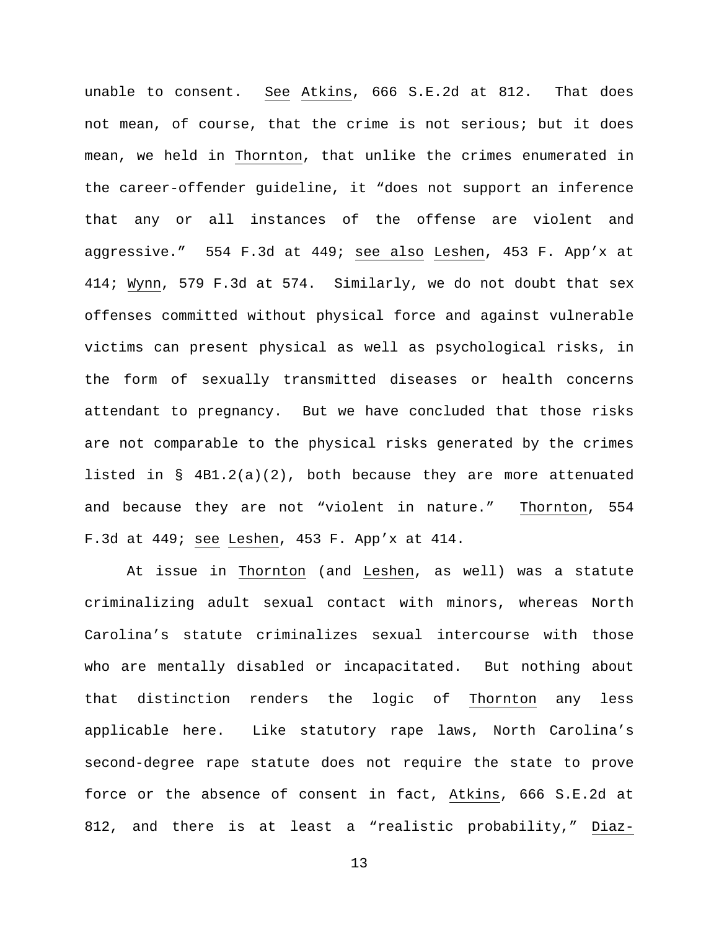unable to consent. See Atkins, 666 S.E.2d at 812. That does not mean, of course, that the crime is not serious; but it does mean, we held in Thornton, that unlike the crimes enumerated in the career-offender guideline, it "does not support an inference that any or all instances of the offense are violent and aggressive." 554 F.3d at 449; see also Leshen, 453 F. App'x at 414; Wynn, 579 F.3d at 574. Similarly, we do not doubt that sex offenses committed without physical force and against vulnerable victims can present physical as well as psychological risks, in the form of sexually transmitted diseases or health concerns attendant to pregnancy. But we have concluded that those risks are not comparable to the physical risks generated by the crimes listed in §  $4B1.2(a)(2)$ , both because they are more attenuated and because they are not "violent in nature." Thornton, 554 F.3d at 449; see Leshen, 453 F. App'x at 414.

At issue in Thornton (and Leshen, as well) was a statute criminalizing adult sexual contact with minors, whereas North Carolina's statute criminalizes sexual intercourse with those who are mentally disabled or incapacitated. But nothing about that distinction renders the logic of Thornton any less applicable here. Like statutory rape laws, North Carolina's second-degree rape statute does not require the state to prove force or the absence of consent in fact, Atkins, 666 S.E.2d at 812, and there is at least a "realistic probability," Diaz-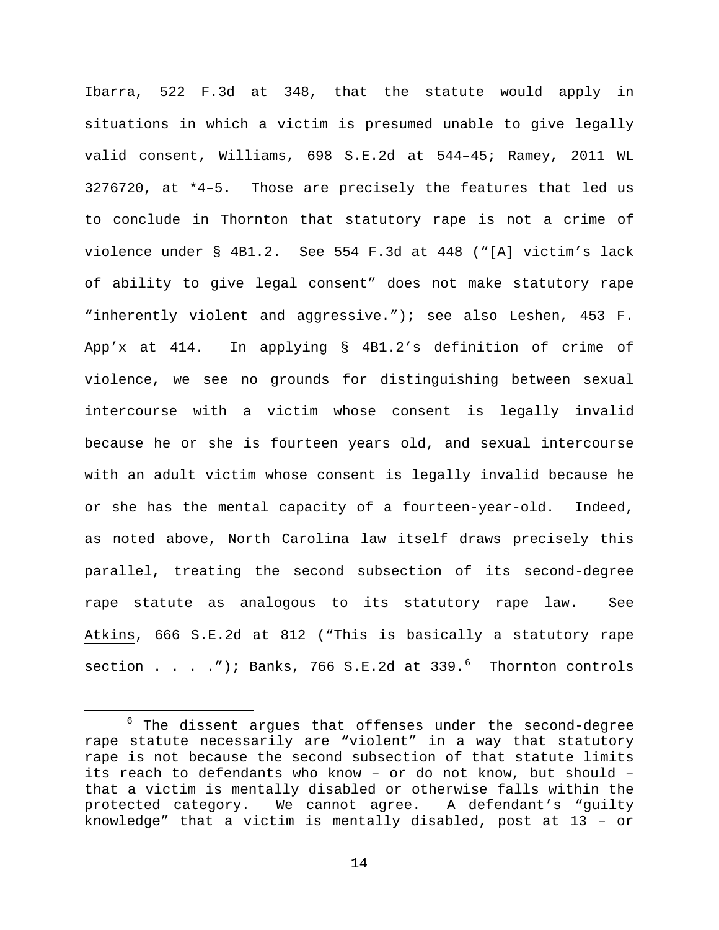Ibarra, 522 F.3d at 348, that the statute would apply in situations in which a victim is presumed unable to give legally valid consent, Williams, 698 S.E.2d at 544–45; Ramey, 2011 WL 3276720, at \*4–5. Those are precisely the features that led us to conclude in Thornton that statutory rape is not a crime of violence under § 4B1.2. See 554 F.3d at 448 ("[A] victim's lack of ability to give legal consent" does not make statutory rape "inherently violent and aggressive."); see also Leshen, 453 F. App'x at 414. In applying § 4B1.2's definition of crime of violence, we see no grounds for distinguishing between sexual intercourse with a victim whose consent is legally invalid because he or she is fourteen years old, and sexual intercourse with an adult victim whose consent is legally invalid because he or she has the mental capacity of a fourteen-year-old. Indeed, as noted above, North Carolina law itself draws precisely this parallel, treating the second subsection of its second-degree rape statute as analogous to its statutory rape law. See Atkins, 666 S.E.2d at 812 ("This is basically a statutory rape section . . . ."); <u>Banks</u>, 7[6](#page-13-0)6 S.E.2d at 339.<sup>6</sup> <u>Thornton</u> controls

<span id="page-13-0"></span> $6$  The dissent argues that offenses under the second-degree rape statute necessarily are "violent" in a way that statutory rape is not because the second subsection of that statute limits its reach to defendants who know – or do not know, but should – that a victim is mentally disabled or otherwise falls within the<br>protected category. We cannot agree. A defendant's "guilty protected category. We cannot agree. A defendant's "guilty knowledge" that a victim is mentally disabled, post at 13 – or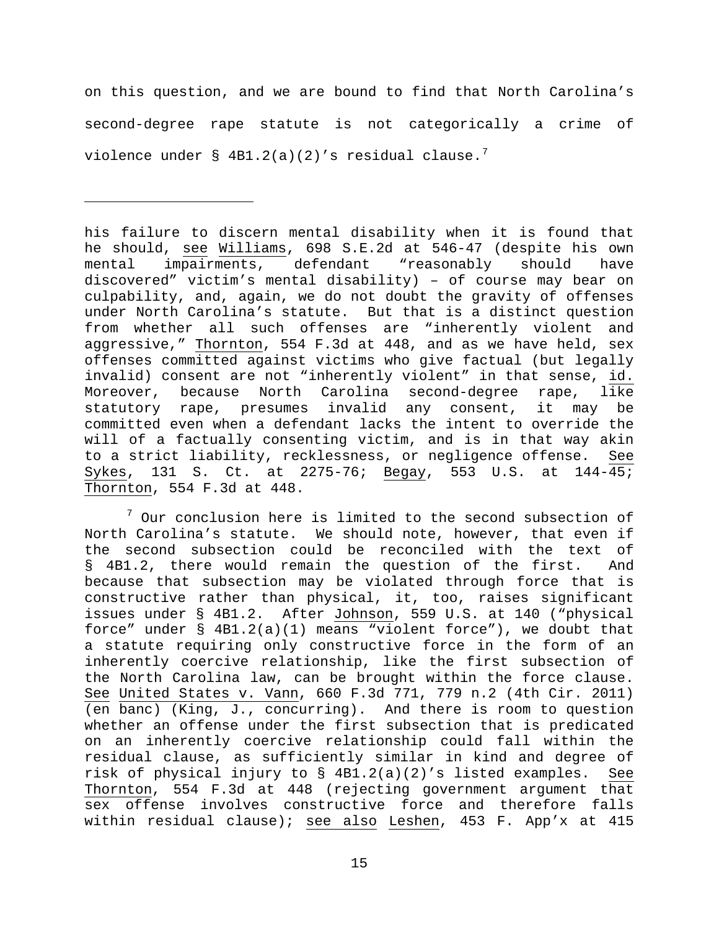on this question, and we are bound to find that North Carolina's second-degree rape statute is not categorically a crime of violence under § 4B1.2(a)(2)'s residual clause.<sup>[7](#page-14-0)</sup>

Ĩ.

his failure to discern mental disability when it is found that he should, see Williams, 698 S.E.2d at 546-47 (despite his own<br>mental impairments, defendant "reasonably should have impairments, defendant "reasonably discovered" victim's mental disability) – of course may bear on culpability, and, again, we do not doubt the gravity of offenses under North Carolina's statute. But that is a distinct question from whether all such offenses are "inherently violent and aggressive," Thornton, 554 F.3d at 448, and as we have held, sex offenses committed against victims who give factual (but legally invalid) consent are not "inherently violent" in that sense, id. Moreover, because North Carolina second-degree rape, like statutory rape, presumes invalid any consent, it may be committed even when a defendant lacks the intent to override the will of a factually consenting victim, and is in that way akin to a strict liability, recklessness, or negligence offense. See Sykes, 131 S. Ct. at 2275-76; Begay, 553 U.S. at 144-45; Thornton, 554 F.3d at 448.

<span id="page-14-0"></span> $7$  Our conclusion here is limited to the second subsection of North Carolina's statute. We should note, however, that even if the second subsection could be reconciled with the text of § 4B1.2, there would remain the question of the first. And because that subsection may be violated through force that is constructive rather than physical, it, too, raises significant issues under § 4B1.2. After Johnson, 559 U.S. at 140 ("physical force" under  $\S$  4B1.2(a)(1) means "violent force"), we doubt that a statute requiring only constructive force in the form of an inherently coercive relationship, like the first subsection of the North Carolina law, can be brought within the force clause. See United States v. Vann, 660 F.3d 771, 779 n.2 (4th Cir. 2011) (en banc) (King, J., concurring). And there is room to question whether an offense under the first subsection that is predicated on an inherently coercive relationship could fall within the residual clause, as sufficiently similar in kind and degree of risk of physical injury to § 4B1.2(a)(2)'s listed examples. See Thornton, 554 F.3d at 448 (rejecting government argument that sex offense involves constructive force and therefore falls within residual clause); see also Leshen, 453 F. App'x at 415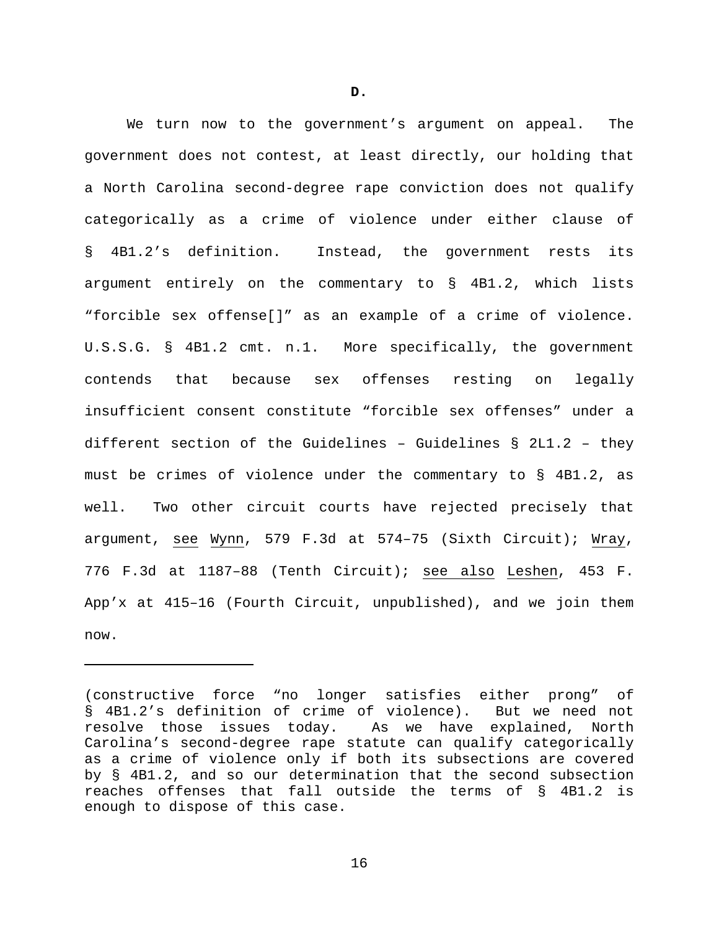We turn now to the government's argument on appeal. The government does not contest, at least directly, our holding that a North Carolina second-degree rape conviction does not qualify categorically as a crime of violence under either clause of § 4B1.2's definition. Instead, the government rests its argument entirely on the commentary to § 4B1.2, which lists "forcible sex offense[]" as an example of a crime of violence. U.S.S.G. § 4B1.2 cmt. n.1. More specifically, the government contends that because sex offenses resting on legally insufficient consent constitute "forcible sex offenses" under a different section of the Guidelines - Guidelines  $\S$  2L1.2 - they must be crimes of violence under the commentary to § 4B1.2, as well. Two other circuit courts have rejected precisely that argument, see Wynn, 579 F.3d at 574–75 (Sixth Circuit); Wray, 776 F.3d at 1187–88 (Tenth Circuit); see also Leshen, 453 F. App'x at 415–16 (Fourth Circuit, unpublished), and we join them now.

Ĩ.

<sup>(</sup>constructive force "no longer satisfies either prong" of § 4B1.2's definition of crime of violence). But we need not resolve those issues today. As we have explained, North Carolina's second-degree rape statute can qualify categorically as a crime of violence only if both its subsections are covered by § 4B1.2, and so our determination that the second subsection reaches offenses that fall outside the terms of § 4B1.2 is enough to dispose of this case.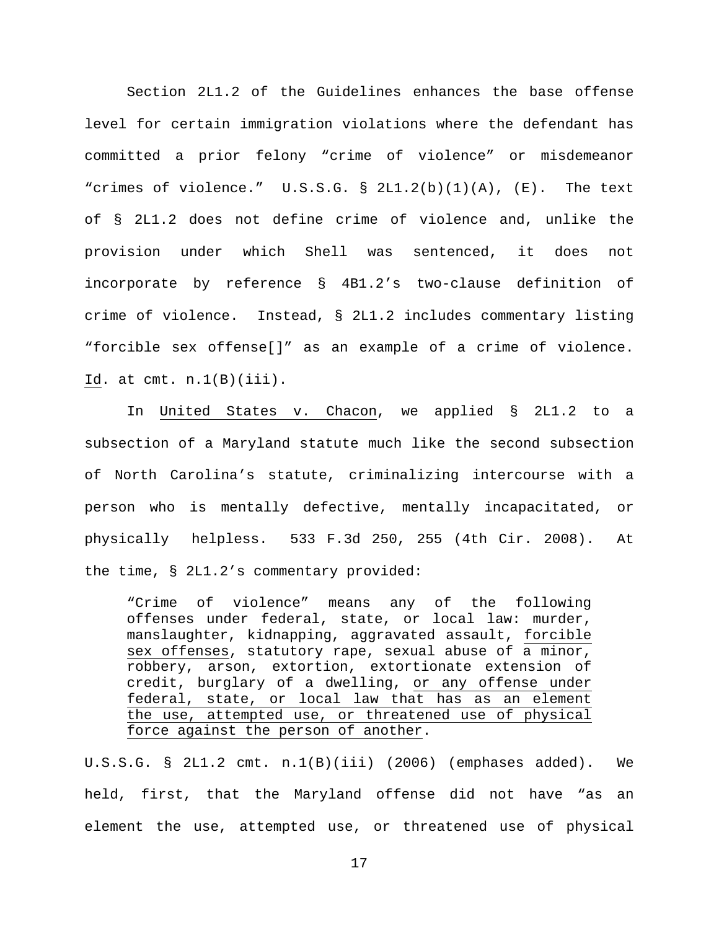Section 2L1.2 of the Guidelines enhances the base offense level for certain immigration violations where the defendant has committed a prior felony "crime of violence" or misdemeanor "crimes of violence."  $U.S.S.G. S 2L1.2(b)(1)(A)$ ,  $(E)$ . The text of § 2L1.2 does not define crime of violence and, unlike the provision under which Shell was sentenced, it does not incorporate by reference § 4B1.2's two-clause definition of crime of violence. Instead, § 2L1.2 includes commentary listing "forcible sex offense[]" as an example of a crime of violence. Id. at  $cmt. n.1(B)(iii)$ .

In United States v. Chacon, we applied § 2L1.2 to a subsection of a Maryland statute much like the second subsection of North Carolina's statute, criminalizing intercourse with a person who is mentally defective, mentally incapacitated, or physically helpless. 533 F.3d 250, 255 (4th Cir. 2008). At the time, § 2L1.2's commentary provided:

"Crime of violence" means any of the following offenses under federal, state, or local law: murder, manslaughter, kidnapping, aggravated assault, forcible sex offenses, statutory rape, sexual abuse of a minor, robbery, arson, extortion, extortionate extension of credit, burglary of a dwelling, or any offense under federal, state, or local law that has as an element the use, attempted use, or threatened use of physical force against the person of another.

U.S.S.G. § 2L1.2 cmt. n.1(B)(iii) (2006) (emphases added). We held, first, that the Maryland offense did not have "as an element the use, attempted use, or threatened use of physical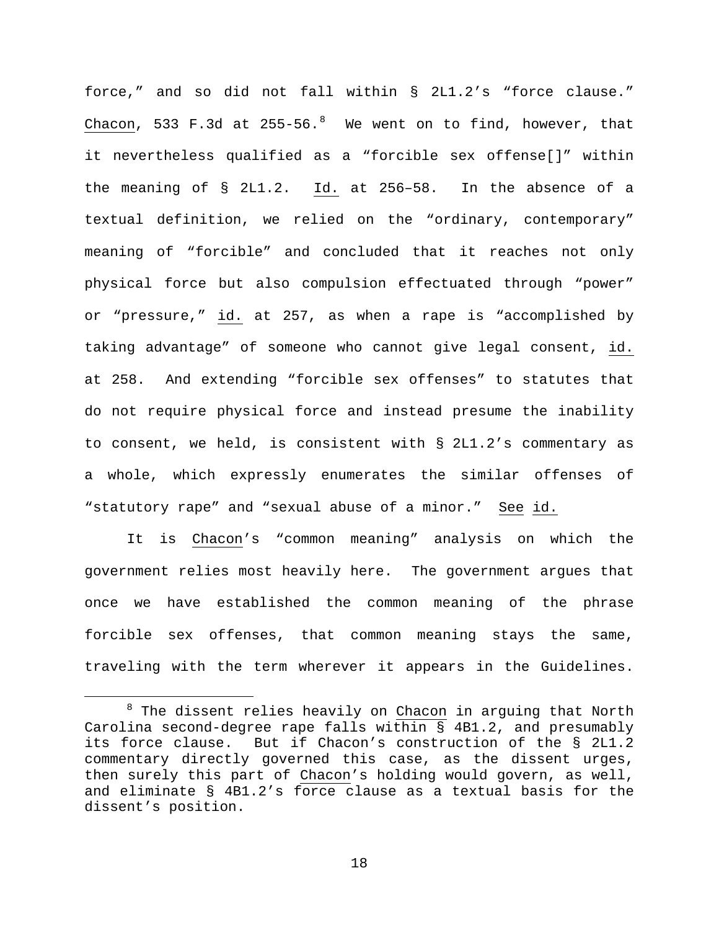force," and so did not fall within § 2L1.2's "force clause."  $\frac{\text{Chacon}}{\text{Chacon}}$ , 533 F.3d at 255-56. $^8$  $^8$  We went on to find, however, that it nevertheless qualified as a "forcible sex offense[]" within the meaning of § 2L1.2. Id. at 256–58. In the absence of a textual definition, we relied on the "ordinary, contemporary" meaning of "forcible" and concluded that it reaches not only physical force but also compulsion effectuated through "power" or "pressure," id. at 257, as when a rape is "accomplished by taking advantage" of someone who cannot give legal consent, id. at 258. And extending "forcible sex offenses" to statutes that do not require physical force and instead presume the inability to consent, we held, is consistent with § 2L1.2's commentary as a whole, which expressly enumerates the similar offenses of "statutory rape" and "sexual abuse of a minor." See id.

It is Chacon's "common meaning" analysis on which the government relies most heavily here. The government argues that once we have established the common meaning of the phrase forcible sex offenses, that common meaning stays the same, traveling with the term wherever it appears in the Guidelines.

<span id="page-17-0"></span> $8$  The dissent relies heavily on Chacon in arguing that North Carolina second-degree rape falls within § 4B1.2, and presumably its force clause. But if Chacon's construction of the § 2L1.2 commentary directly governed this case, as the dissent urges, then surely this part of Chacon's holding would govern, as well, and eliminate § 4B1.2's force clause as a textual basis for the dissent's position.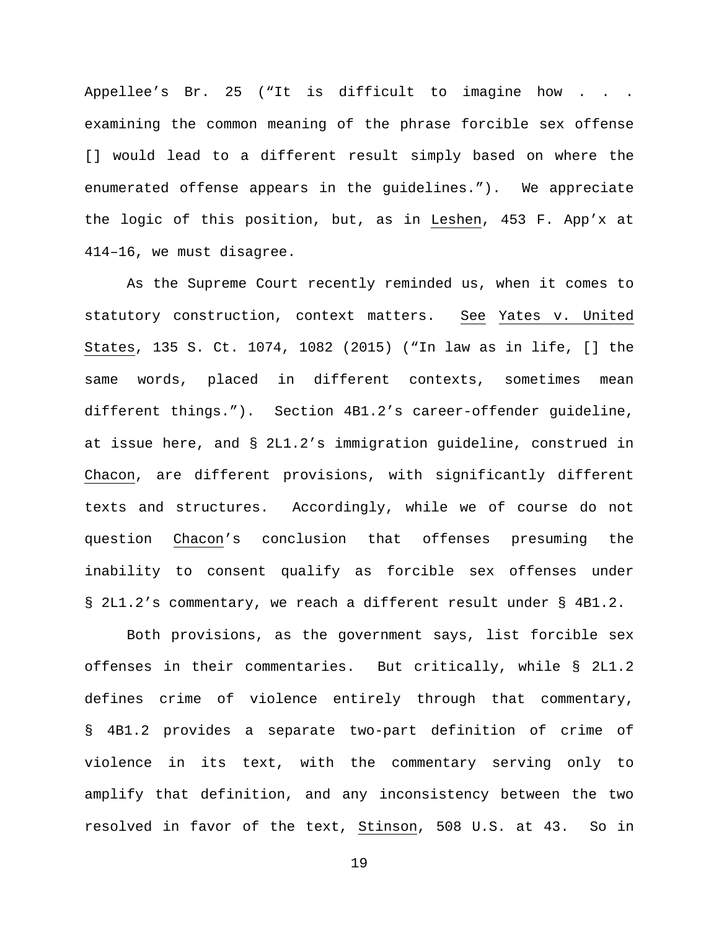Appellee's Br. 25 ("It is difficult to imagine how . . . examining the common meaning of the phrase forcible sex offense [] would lead to a different result simply based on where the enumerated offense appears in the guidelines."). We appreciate the logic of this position, but, as in Leshen, 453 F. App'x at 414–16, we must disagree.

As the Supreme Court recently reminded us, when it comes to statutory construction, context matters. See Yates v. United States, 135 S. Ct. 1074, 1082 (2015) ("In law as in life, [] the same words, placed in different contexts, sometimes mean different things."). Section 4B1.2's career-offender guideline, at issue here, and § 2L1.2's immigration guideline, construed in Chacon, are different provisions, with significantly different texts and structures. Accordingly, while we of course do not question Chacon's conclusion that offenses presuming the inability to consent qualify as forcible sex offenses under § 2L1.2's commentary, we reach a different result under § 4B1.2.

Both provisions, as the government says, list forcible sex offenses in their commentaries. But critically, while § 2L1.2 defines crime of violence entirely through that commentary, § 4B1.2 provides a separate two-part definition of crime of violence in its text, with the commentary serving only to amplify that definition, and any inconsistency between the two resolved in favor of the text, Stinson, 508 U.S. at 43. So in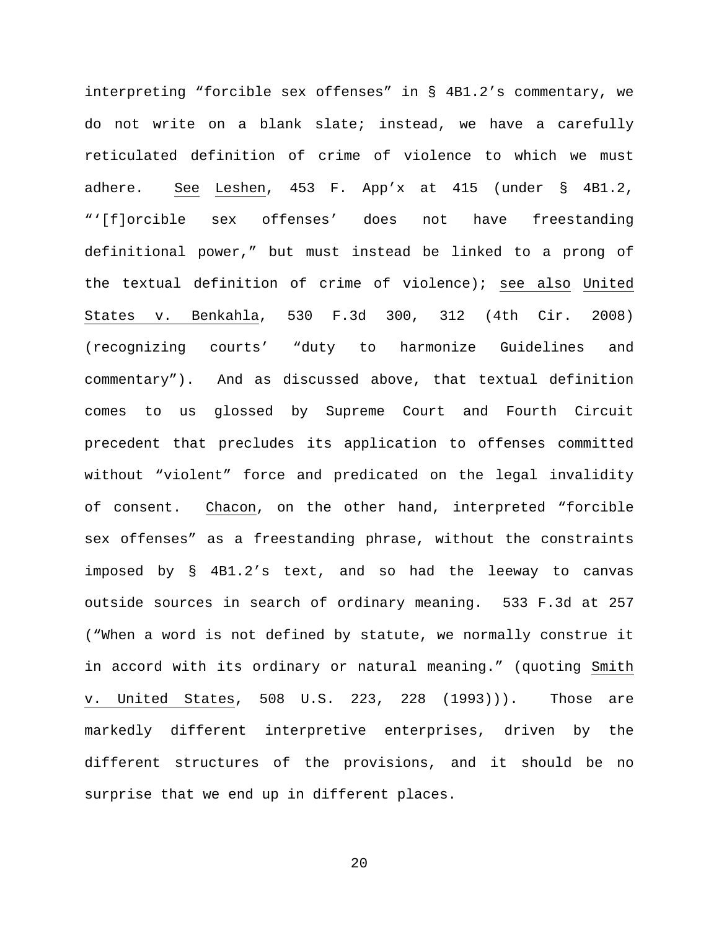interpreting "forcible sex offenses" in § 4B1.2's commentary, we do not write on a blank slate; instead, we have a carefully reticulated definition of crime of violence to which we must adhere. See Leshen, 453 F. App'x at 415 (under § 4B1.2, "'[f]orcible sex offenses' does not have freestanding definitional power," but must instead be linked to a prong of the textual definition of crime of violence); see also United States v. Benkahla, 530 F.3d 300, 312 (4th Cir. 2008) (recognizing courts' "duty to harmonize Guidelines and commentary"). And as discussed above, that textual definition comes to us glossed by Supreme Court and Fourth Circuit precedent that precludes its application to offenses committed without "violent" force and predicated on the legal invalidity of consent. Chacon, on the other hand, interpreted "forcible sex offenses" as a freestanding phrase, without the constraints imposed by § 4B1.2's text, and so had the leeway to canvas outside sources in search of ordinary meaning. 533 F.3d at 257 ("When a word is not defined by statute, we normally construe it in accord with its ordinary or natural meaning." (quoting Smith v. United States, 508 U.S. 223, 228 (1993))). Those are markedly different interpretive enterprises, driven by the different structures of the provisions, and it should be no surprise that we end up in different places.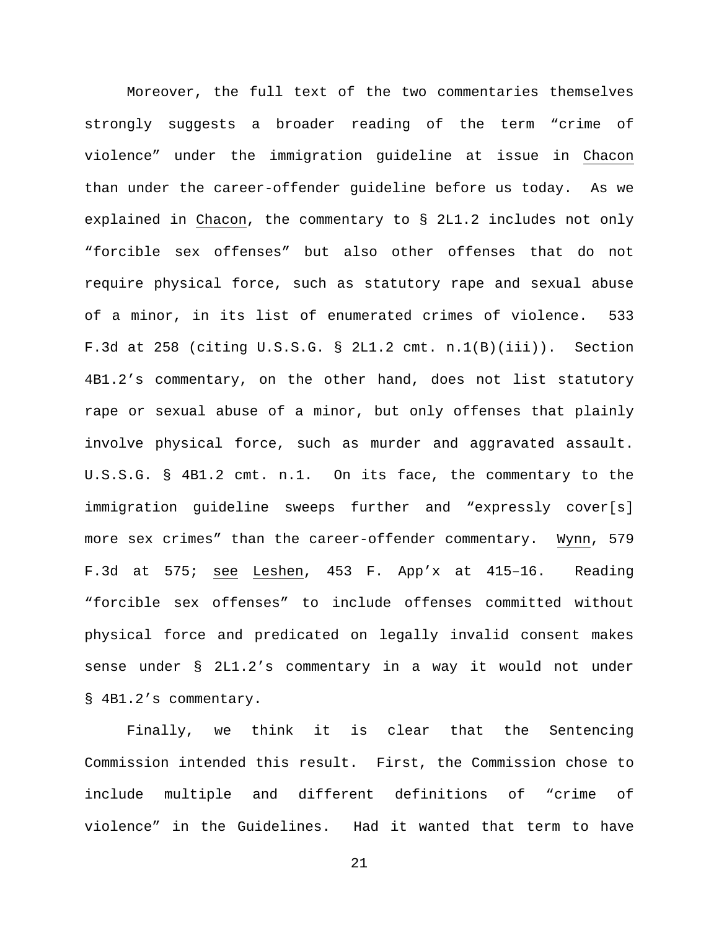Moreover, the full text of the two commentaries themselves strongly suggests a broader reading of the term "crime of violence" under the immigration guideline at issue in Chacon than under the career-offender guideline before us today. As we explained in Chacon, the commentary to § 2L1.2 includes not only "forcible sex offenses" but also other offenses that do not require physical force, such as statutory rape and sexual abuse of a minor, in its list of enumerated crimes of violence. 533 F.3d at 258 (citing U.S.S.G. § 2L1.2 cmt. n.1(B)(iii)). Section 4B1.2's commentary, on the other hand, does not list statutory rape or sexual abuse of a minor, but only offenses that plainly involve physical force, such as murder and aggravated assault. U.S.S.G. § 4B1.2 cmt. n.1. On its face, the commentary to the immigration guideline sweeps further and "expressly cover[s] more sex crimes" than the career-offender commentary. Wynn, 579 F.3d at 575; see Leshen, 453 F. App'x at 415–16. Reading "forcible sex offenses" to include offenses committed without physical force and predicated on legally invalid consent makes sense under § 2L1.2's commentary in a way it would not under § 4B1.2's commentary.

Finally, we think it is clear that the Sentencing Commission intended this result. First, the Commission chose to include multiple and different definitions of "crime of violence" in the Guidelines. Had it wanted that term to have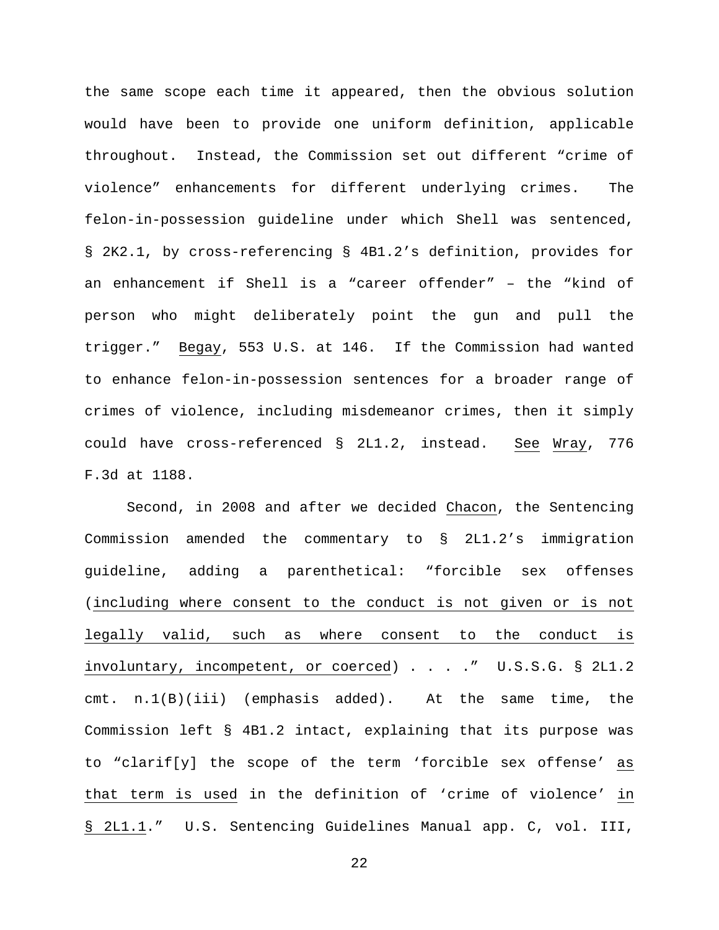the same scope each time it appeared, then the obvious solution would have been to provide one uniform definition, applicable throughout. Instead, the Commission set out different "crime of violence" enhancements for different underlying crimes. The felon-in-possession guideline under which Shell was sentenced, § 2K2.1, by cross-referencing § 4B1.2's definition, provides for an enhancement if Shell is a "career offender" – the "kind of person who might deliberately point the gun and pull the trigger." Begay, 553 U.S. at 146. If the Commission had wanted to enhance felon-in-possession sentences for a broader range of crimes of violence, including misdemeanor crimes, then it simply could have cross-referenced § 2L1.2, instead. See Wray, 776 F.3d at 1188.

Second, in 2008 and after we decided Chacon, the Sentencing Commission amended the commentary to § 2L1.2's immigration guideline, adding a parenthetical: "forcible sex offenses (including where consent to the conduct is not given or is not legally valid, such as where consent to the conduct is involuntary, incompetent, or coerced) . . . ." U.S.S.G. § 2L1.2 cmt. n.1(B)(iii) (emphasis added). At the same time, the Commission left § 4B1.2 intact, explaining that its purpose was to "clarif[y] the scope of the term 'forcible sex offense' as that term is used in the definition of 'crime of violence' in § 2L1.1." U.S. Sentencing Guidelines Manual app. C, vol. III,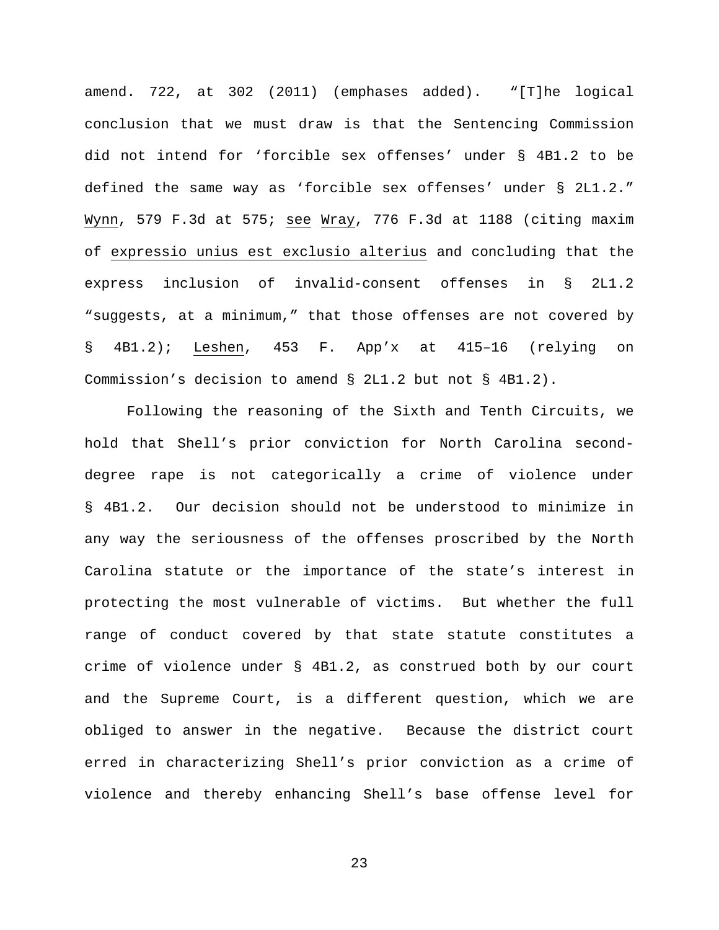amend. 722, at 302 (2011) (emphases added). "[T]he logical conclusion that we must draw is that the Sentencing Commission did not intend for 'forcible sex offenses' under § 4B1.2 to be defined the same way as 'forcible sex offenses' under § 2L1.2." Wynn, 579 F.3d at 575; see Wray, 776 F.3d at 1188 (citing maxim of expressio unius est exclusio alterius and concluding that the express inclusion of invalid-consent offenses in § 2L1.2 "suggests, at a minimum," that those offenses are not covered by § 4B1.2); Leshen, 453 F. App'x at 415–16 (relying on Commission's decision to amend § 2L1.2 but not § 4B1.2).

Following the reasoning of the Sixth and Tenth Circuits, we hold that Shell's prior conviction for North Carolina seconddegree rape is not categorically a crime of violence under § 4B1.2. Our decision should not be understood to minimize in any way the seriousness of the offenses proscribed by the North Carolina statute or the importance of the state's interest in protecting the most vulnerable of victims. But whether the full range of conduct covered by that state statute constitutes a crime of violence under § 4B1.2, as construed both by our court and the Supreme Court, is a different question, which we are obliged to answer in the negative. Because the district court erred in characterizing Shell's prior conviction as a crime of violence and thereby enhancing Shell's base offense level for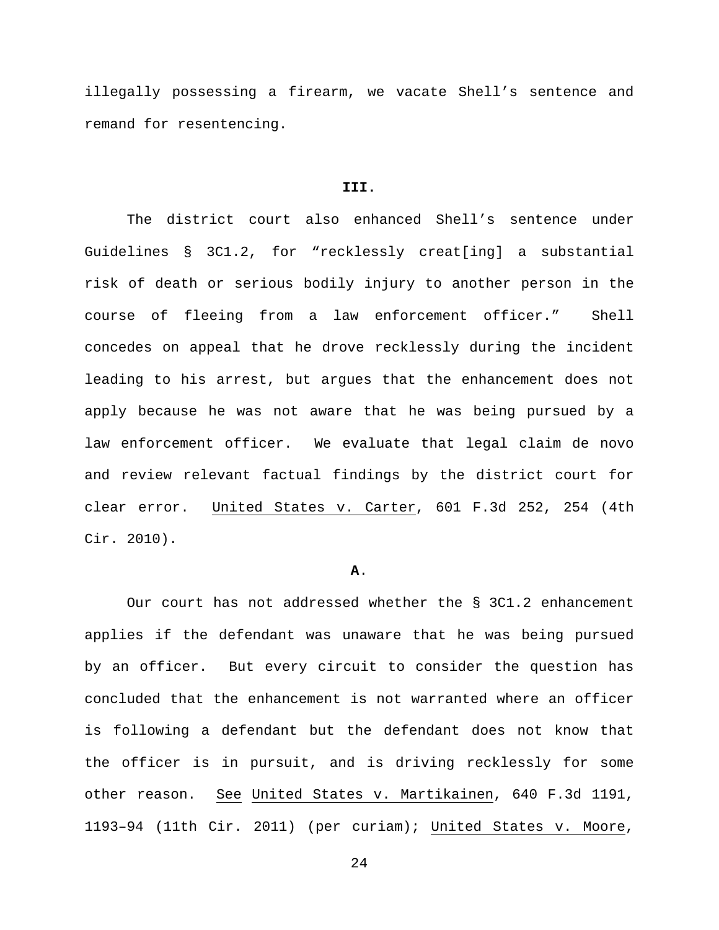illegally possessing a firearm, we vacate Shell's sentence and remand for resentencing.

### **III.**

The district court also enhanced Shell's sentence under Guidelines § 3C1.2, for "recklessly creat[ing] a substantial risk of death or serious bodily injury to another person in the course of fleeing from a law enforcement officer." Shell concedes on appeal that he drove recklessly during the incident leading to his arrest, but argues that the enhancement does not apply because he was not aware that he was being pursued by a law enforcement officer. We evaluate that legal claim de novo and review relevant factual findings by the district court for clear error. United States v. Carter, 601 F.3d 252, 254 (4th Cir. 2010).

#### **A**.

Our court has not addressed whether the § 3C1.2 enhancement applies if the defendant was unaware that he was being pursued by an officer. But every circuit to consider the question has concluded that the enhancement is not warranted where an officer is following a defendant but the defendant does not know that the officer is in pursuit, and is driving recklessly for some other reason. See United States v. Martikainen, 640 F.3d 1191, 1193–94 (11th Cir. 2011) (per curiam); United States v. Moore,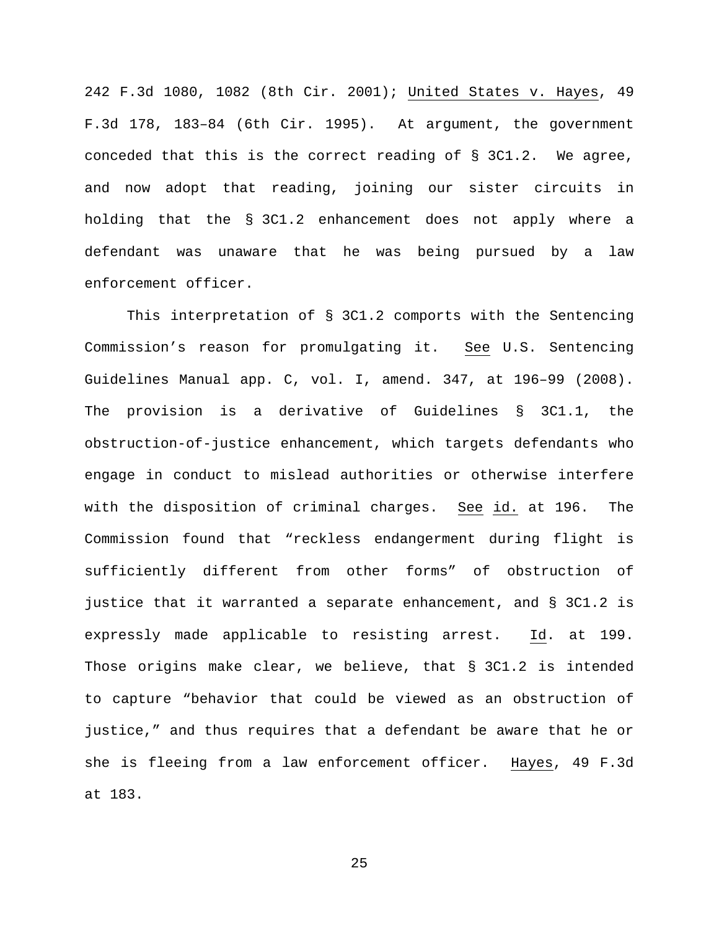242 F.3d 1080, 1082 (8th Cir. 2001); United States v. Hayes, 49 F.3d 178, 183–84 (6th Cir. 1995). At argument, the government conceded that this is the correct reading of § 3C1.2. We agree, and now adopt that reading, joining our sister circuits in holding that the § 3C1.2 enhancement does not apply where a defendant was unaware that he was being pursued by a law enforcement officer.

This interpretation of § 3C1.2 comports with the Sentencing Commission's reason for promulgating it. See U.S. Sentencing Guidelines Manual app. C, vol. I, amend. 347, at 196–99 (2008). The provision is a derivative of Guidelines § 3C1.1, the obstruction-of-justice enhancement, which targets defendants who engage in conduct to mislead authorities or otherwise interfere with the disposition of criminal charges. See id. at 196. The Commission found that "reckless endangerment during flight is sufficiently different from other forms" of obstruction of justice that it warranted a separate enhancement, and § 3C1.2 is expressly made applicable to resisting arrest. Id. at 199. Those origins make clear, we believe, that § 3C1.2 is intended to capture "behavior that could be viewed as an obstruction of justice," and thus requires that a defendant be aware that he or she is fleeing from a law enforcement officer. Hayes, 49 F.3d at 183.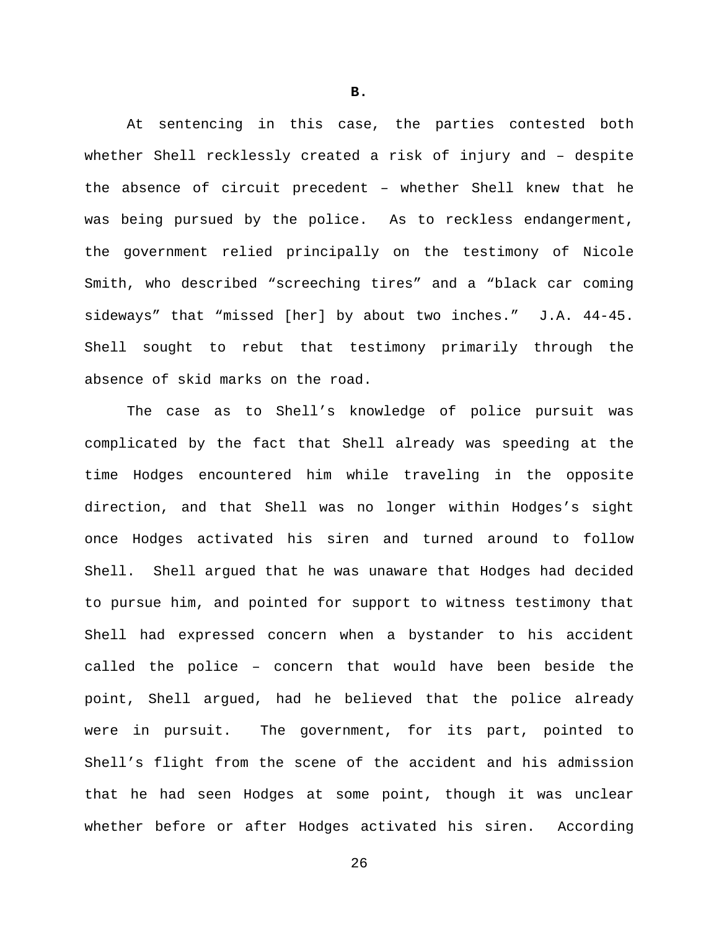At sentencing in this case, the parties contested both whether Shell recklessly created a risk of injury and – despite the absence of circuit precedent – whether Shell knew that he was being pursued by the police. As to reckless endangerment, the government relied principally on the testimony of Nicole Smith, who described "screeching tires" and a "black car coming sideways" that "missed [her] by about two inches." J.A. 44-45. Shell sought to rebut that testimony primarily through the absence of skid marks on the road.

The case as to Shell's knowledge of police pursuit was complicated by the fact that Shell already was speeding at the time Hodges encountered him while traveling in the opposite direction, and that Shell was no longer within Hodges's sight once Hodges activated his siren and turned around to follow Shell. Shell argued that he was unaware that Hodges had decided to pursue him, and pointed for support to witness testimony that Shell had expressed concern when a bystander to his accident called the police – concern that would have been beside the point, Shell argued, had he believed that the police already were in pursuit. The government, for its part, pointed to Shell's flight from the scene of the accident and his admission that he had seen Hodges at some point, though it was unclear whether before or after Hodges activated his siren. According

**B.**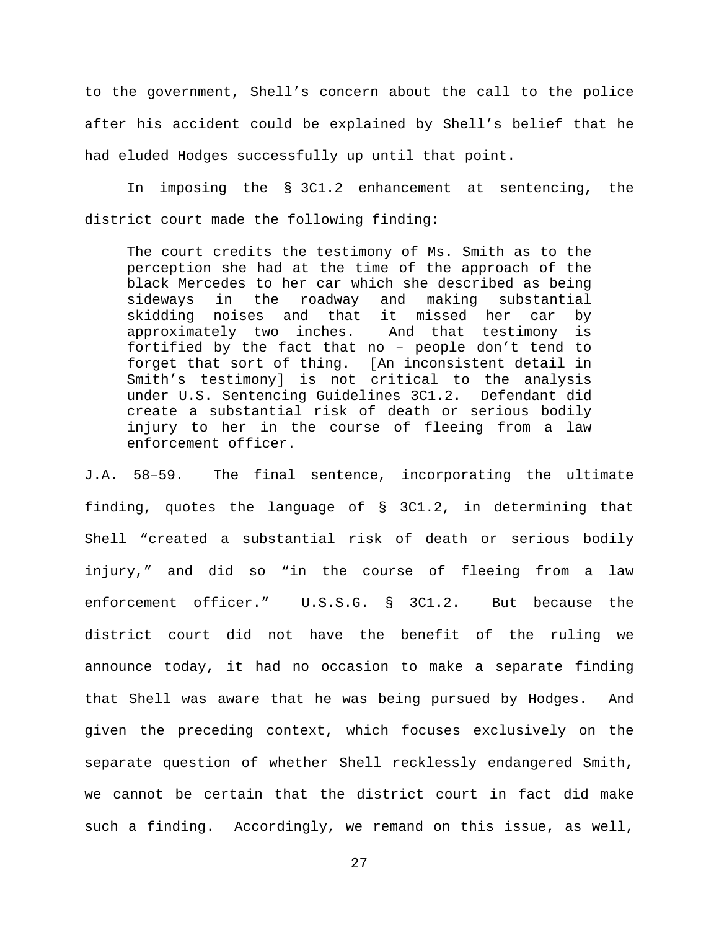to the government, Shell's concern about the call to the police after his accident could be explained by Shell's belief that he had eluded Hodges successfully up until that point.

In imposing the § 3C1.2 enhancement at sentencing, the district court made the following finding:

The court credits the testimony of Ms. Smith as to the perception she had at the time of the approach of the black Mercedes to her car which she described as being sideways in the roadway and making substantial skidding noises and that it missed her car by approximately two inches. And that testimony is fortified by the fact that no – people don't tend to forget that sort of thing. [An inconsistent detail in Smith's testimony] is not critical to the analysis under U.S. Sentencing Guidelines 3C1.2. Defendant did create a substantial risk of death or serious bodily injury to her in the course of fleeing from a law enforcement officer.

J.A. 58–59. The final sentence, incorporating the ultimate finding, quotes the language of § 3C1.2, in determining that Shell "created a substantial risk of death or serious bodily injury," and did so "in the course of fleeing from a law enforcement officer." U.S.S.G. § 3C1.2. But because the district court did not have the benefit of the ruling we announce today, it had no occasion to make a separate finding that Shell was aware that he was being pursued by Hodges. And given the preceding context, which focuses exclusively on the separate question of whether Shell recklessly endangered Smith, we cannot be certain that the district court in fact did make such a finding. Accordingly, we remand on this issue, as well,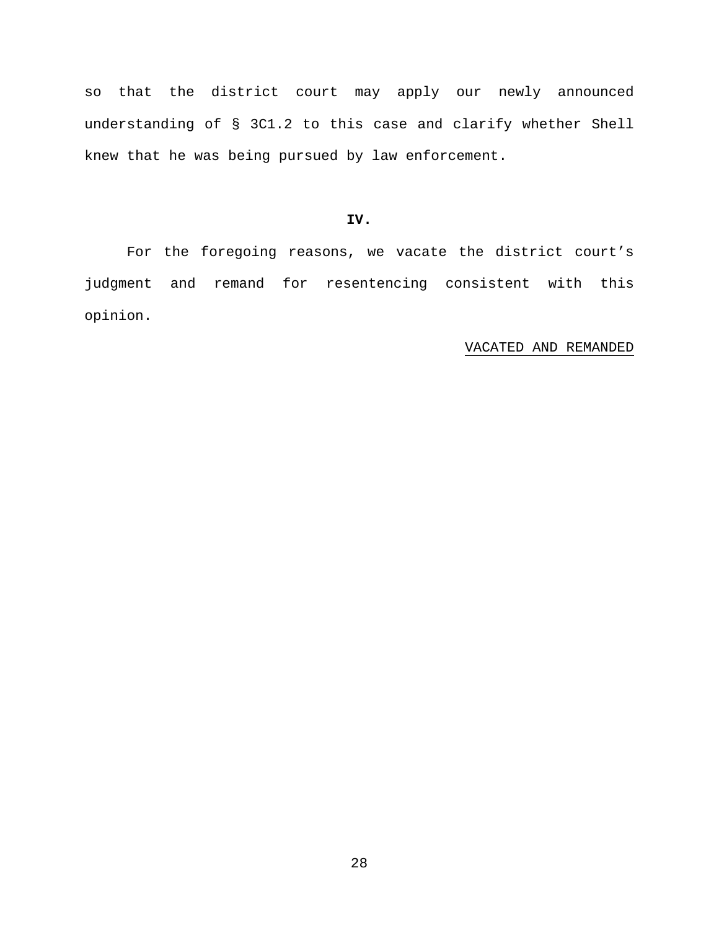so that the district court may apply our newly announced understanding of § 3C1.2 to this case and clarify whether Shell knew that he was being pursued by law enforcement.

# **IV.**

For the foregoing reasons, we vacate the district court's judgment and remand for resentencing consistent with this opinion.

# VACATED AND REMANDED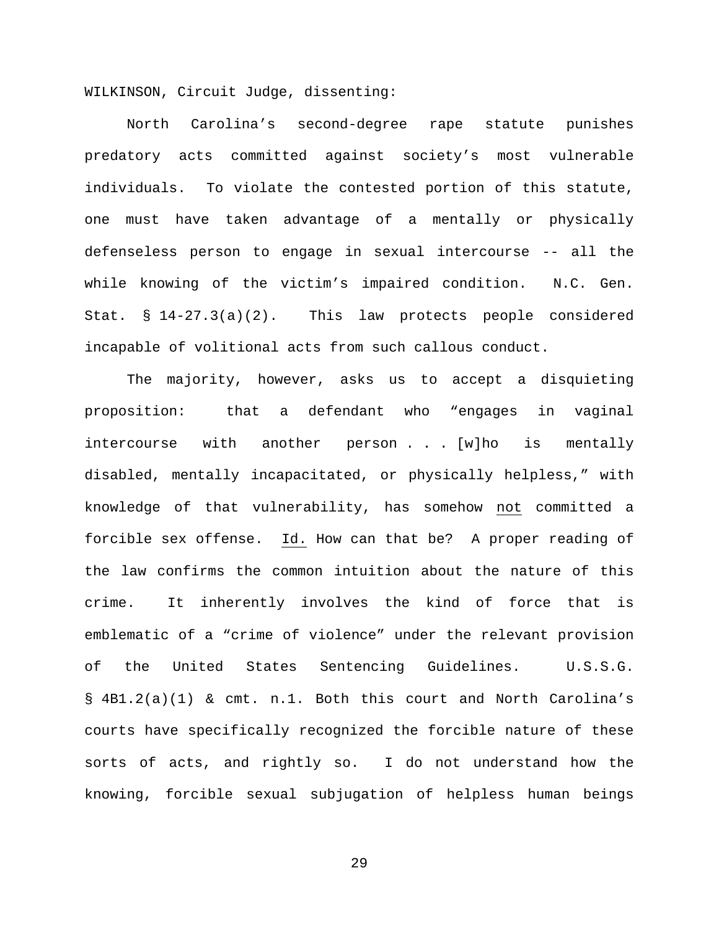WILKINSON, Circuit Judge, dissenting:

North Carolina's second-degree rape statute punishes predatory acts committed against society's most vulnerable individuals. To violate the contested portion of this statute, one must have taken advantage of a mentally or physically defenseless person to engage in sexual intercourse -- all the while knowing of the victim's impaired condition. N.C. Gen. Stat. § 14-27.3(a)(2). This law protects people considered incapable of volitional acts from such callous conduct.

The majority, however, asks us to accept a disquieting proposition: that a defendant who "engages in vaginal intercourse with another person . . [w]ho is mentally disabled, mentally incapacitated, or physically helpless," with knowledge of that vulnerability, has somehow not committed a forcible sex offense. Id. How can that be? A proper reading of the law confirms the common intuition about the nature of this crime. It inherently involves the kind of force that is emblematic of a "crime of violence" under the relevant provision of the United States Sentencing Guidelines. U.S.S.G. § 4B1.2(a)(1) & cmt. n.1. Both this court and North Carolina's courts have specifically recognized the forcible nature of these sorts of acts, and rightly so. I do not understand how the knowing, forcible sexual subjugation of helpless human beings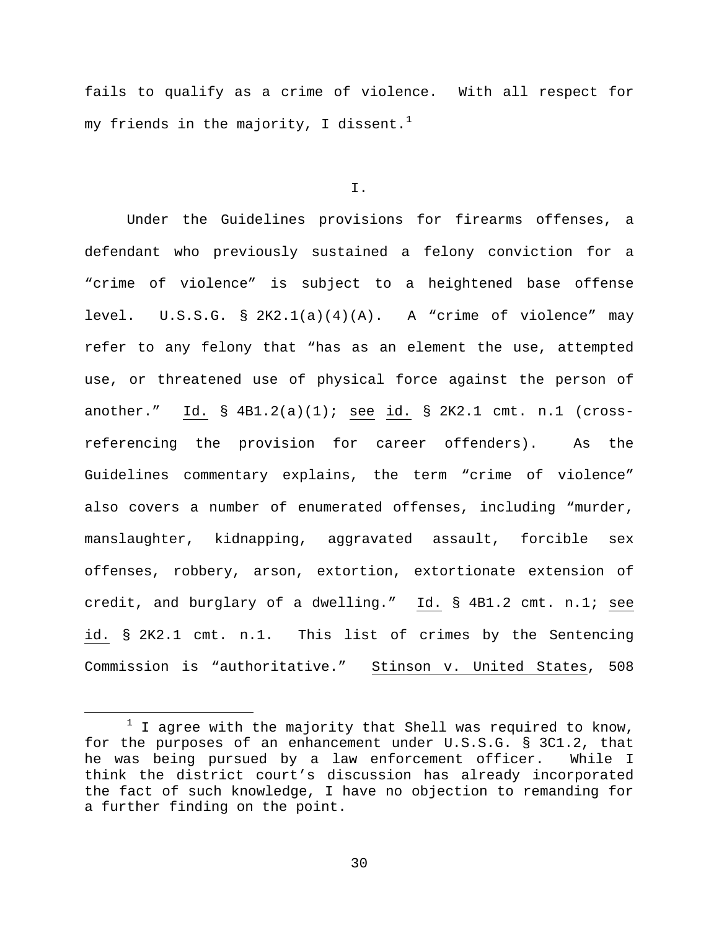fails to qualify as a crime of violence. With all respect for my friends in the majority, I dissent.<sup>[1](#page-29-0)</sup>

### I.

Under the Guidelines provisions for firearms offenses, a defendant who previously sustained a felony conviction for a "crime of violence" is subject to a heightened base offense level. U.S.S.G. § 2K2.1(a)(4)(A). A "crime of violence" may refer to any felony that "has as an element the use, attempted use, or threatened use of physical force against the person of another." Id. § 4B1.2(a)(1); see id. § 2K2.1 cmt. n.1 (crossreferencing the provision for career offenders). As the Guidelines commentary explains, the term "crime of violence" also covers a number of enumerated offenses, including "murder, manslaughter, kidnapping, aggravated assault, forcible sex offenses, robbery, arson, extortion, extortionate extension of credit, and burglary of a dwelling." Id. § 4B1.2 cmt. n.1; see id. § 2K2.1 cmt. n.1. This list of crimes by the Sentencing Commission is "authoritative." Stinson v. United States, 508

<span id="page-29-0"></span> $1$  I agree with the majority that Shell was required to know, for the purposes of an enhancement under U.S.S.G. § 3C1.2, that he was being pursued by a law enforcement officer. While I think the district court's discussion has already incorporated the fact of such knowledge, I have no objection to remanding for a further finding on the point.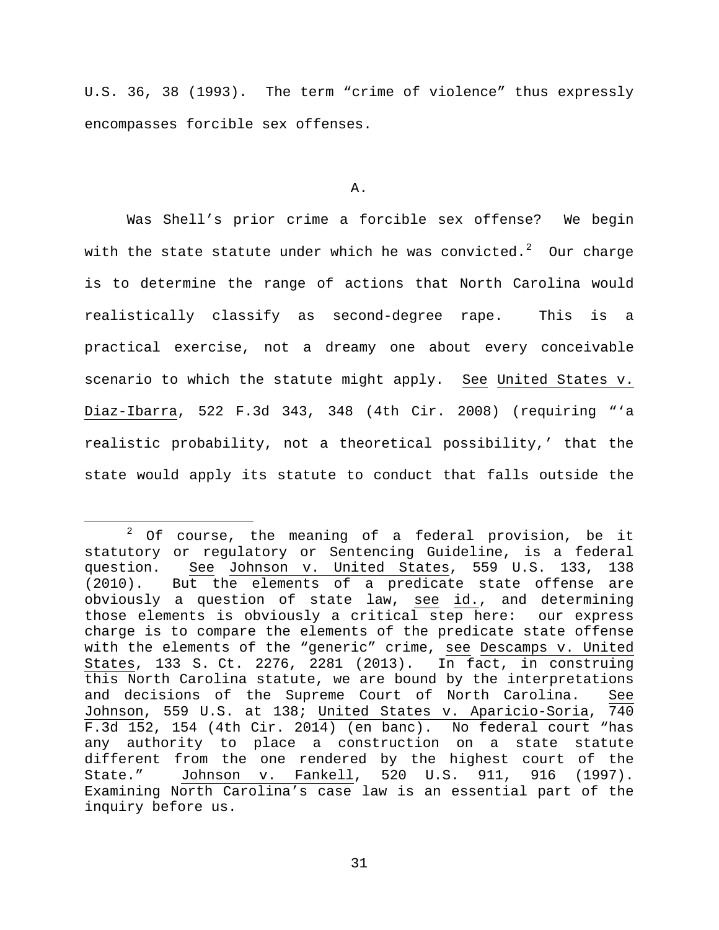U.S. 36, 38 (1993). The term "crime of violence" thus expressly encompasses forcible sex offenses.

#### A.

Was Shell's prior crime a forcible sex offense? We begin with the state statute under which he was convicted. $^2$  $^2$  Our charge is to determine the range of actions that North Carolina would realistically classify as second-degree rape. This is a practical exercise, not a dreamy one about every conceivable scenario to which the statute might apply. See United States v. Diaz-Ibarra, 522 F.3d 343, 348 (4th Cir. 2008) (requiring "'a realistic probability, not a theoretical possibility,' that the state would apply its statute to conduct that falls outside the

<span id="page-30-0"></span> $2$  Of course, the meaning of a federal provision, be it statutory or regulatory or Sentencing Guideline, is a federal question. See Johnson v. United States, 559 U.S. 133, 138 (2010). But the elements of a predicate state offense are obviously a question of state law, see id., and determining those elements is obviously a critical step here: our express charge is to compare the elements of the predicate state offense with the elements of the "generic" crime, see Descamps v. United States, 133 S. Ct. 2276, 2281 (2013). In fact, in construing this North Carolina statute, we are bound by the interpretations and decisions of the Supreme Court of North Carolina. See Johnson, 559 U.S. at 138; United States v. Aparicio-Soria, 740 F.3d 152, 154 (4th Cir. 2014) (en banc). No federal court "has any authority to place a construction on a state statute different from the one rendered by the highest court of the<br>State." Johnson v. Fankell, 520 U.S. 911, 916 (1997).  $520$  U.S. 911, 916 (1997). Examining North Carolina's case law is an essential part of the inquiry before us.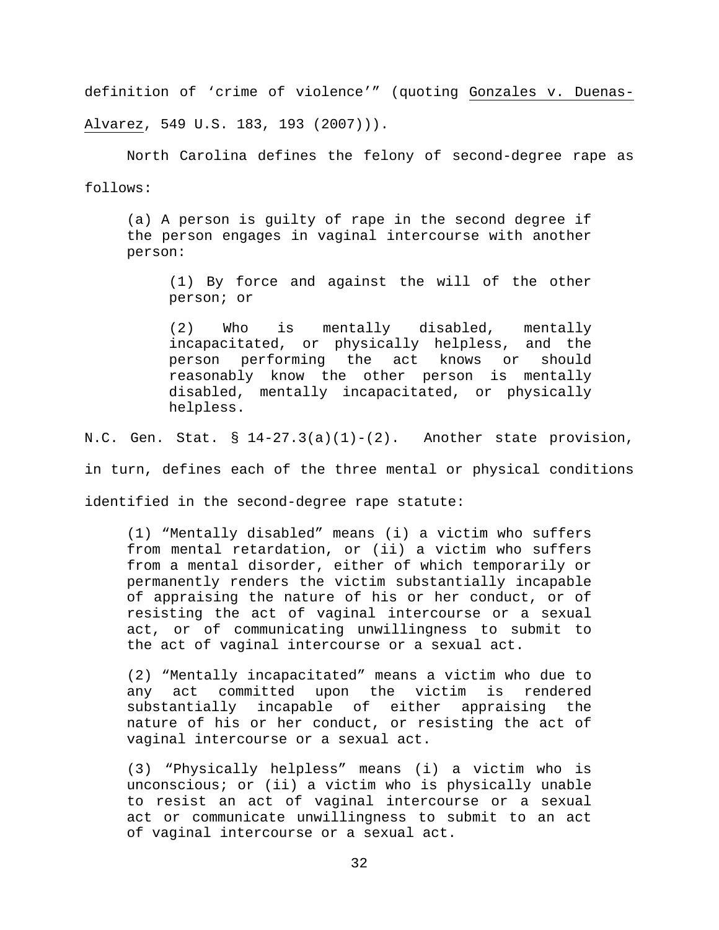definition of 'crime of violence'" (quoting Gonzales v. Duenas-Alvarez, 549 U.S. 183, 193 (2007))).

North Carolina defines the felony of second-degree rape as follows:

(a) A person is guilty of rape in the second degree if the person engages in vaginal intercourse with another person:

(1) By force and against the will of the other person; or

(2) Who is mentally disabled, mentally incapacitated, or physically helpless, and the person performing the act knows or should reasonably know the other person is mentally disabled, mentally incapacitated, or physically helpless.

N.C. Gen. Stat.  $\S$  14-27.3(a)(1)-(2). Another state provision,

in turn, defines each of the three mental or physical conditions

identified in the second-degree rape statute:

(1) "Mentally disabled" means (i) a victim who suffers from mental retardation, or (ii) a victim who suffers from a mental disorder, either of which temporarily or permanently renders the victim substantially incapable of appraising the nature of his or her conduct, or of resisting the act of vaginal intercourse or a sexual act, or of communicating unwillingness to submit to the act of vaginal intercourse or a sexual act.

(2) "Mentally incapacitated" means a victim who due to any act committed upon the victim is rendered<br>substantially incapable of either appraising the substantially incapable of either nature of his or her conduct, or resisting the act of vaginal intercourse or a sexual act.

(3) "Physically helpless" means (i) a victim who is unconscious; or (ii) a victim who is physically unable to resist an act of vaginal intercourse or a sexual act or communicate unwillingness to submit to an act of vaginal intercourse or a sexual act.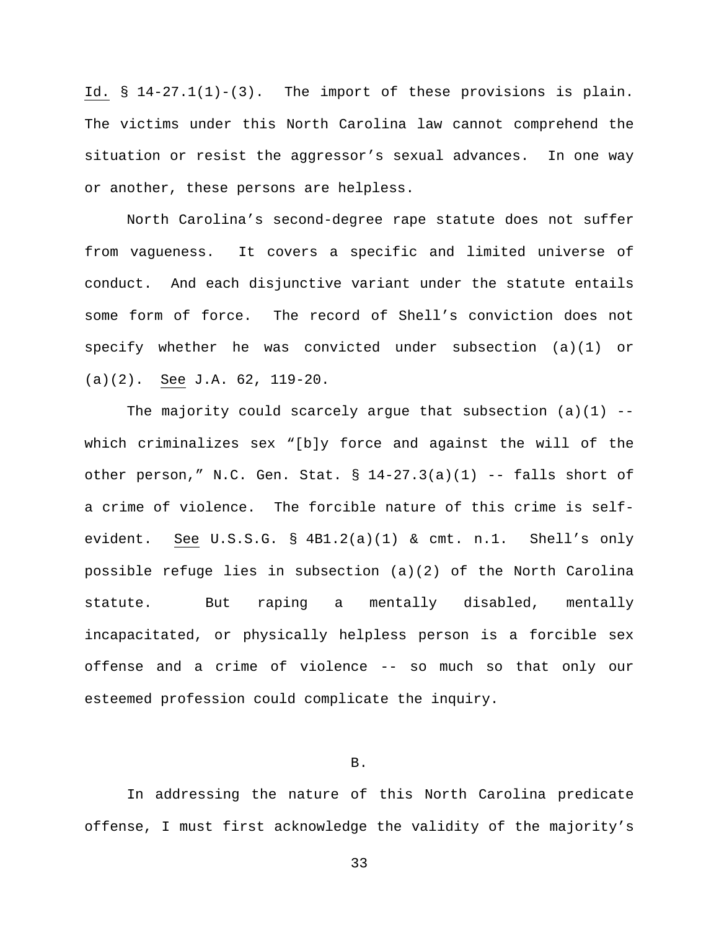Id. § 14-27.1(1)-(3). The import of these provisions is plain. The victims under this North Carolina law cannot comprehend the situation or resist the aggressor's sexual advances. In one way or another, these persons are helpless.

North Carolina's second-degree rape statute does not suffer from vagueness. It covers a specific and limited universe of conduct. And each disjunctive variant under the statute entails some form of force. The record of Shell's conviction does not specify whether he was convicted under subsection (a)(1) or (a)(2). See J.A. 62, 119-20.

The majority could scarcely argue that subsection  $(a)(1)$  -which criminalizes sex "[b]y force and against the will of the other person," N.C. Gen. Stat.  $\S 14-27.3(a)(1)$  -- falls short of a crime of violence. The forcible nature of this crime is selfevident. See U.S.S.G. § 4B1.2(a)(1) & cmt. n.1. Shell's only possible refuge lies in subsection (a)(2) of the North Carolina statute. But raping a mentally disabled, mentally incapacitated, or physically helpless person is a forcible sex offense and a crime of violence -- so much so that only our esteemed profession could complicate the inquiry.

## B.

In addressing the nature of this North Carolina predicate offense, I must first acknowledge the validity of the majority's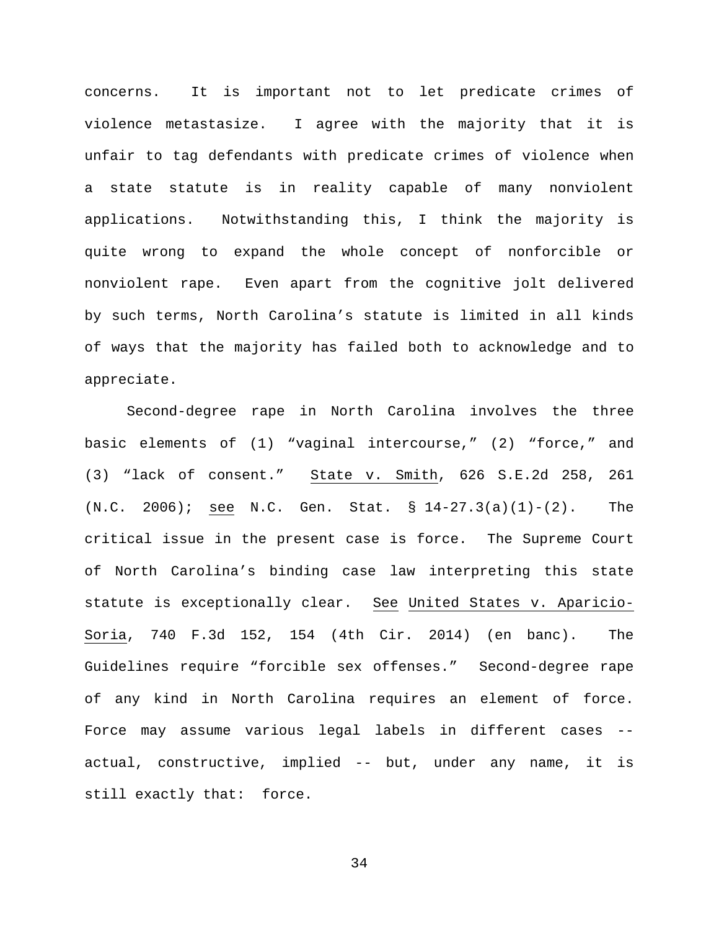concerns. It is important not to let predicate crimes of violence metastasize. I agree with the majority that it is unfair to tag defendants with predicate crimes of violence when a state statute is in reality capable of many nonviolent applications. Notwithstanding this, I think the majority is quite wrong to expand the whole concept of nonforcible or nonviolent rape. Even apart from the cognitive jolt delivered by such terms, North Carolina's statute is limited in all kinds of ways that the majority has failed both to acknowledge and to appreciate.

Second-degree rape in North Carolina involves the three basic elements of (1) "vaginal intercourse," (2) "force," and (3) "lack of consent." State v. Smith, 626 S.E.2d 258, 261 (N.C. 2006); see N.C. Gen. Stat. § 14-27.3(a)(1)-(2). The critical issue in the present case is force. The Supreme Court of North Carolina's binding case law interpreting this state statute is exceptionally clear. See United States v. Aparicio-Soria, 740 F.3d 152, 154 (4th Cir. 2014) (en banc). The Guidelines require "forcible sex offenses." Second-degree rape of any kind in North Carolina requires an element of force. Force may assume various legal labels in different cases - actual, constructive, implied -- but, under any name, it is still exactly that: force.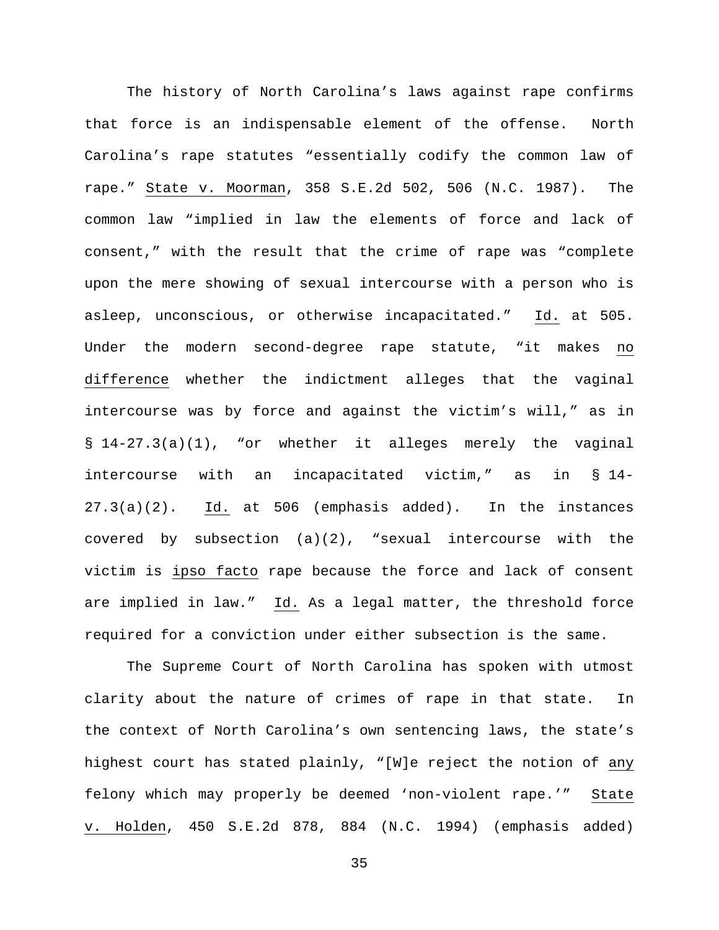The history of North Carolina's laws against rape confirms that force is an indispensable element of the offense. North Carolina's rape statutes "essentially codify the common law of rape." State v. Moorman, 358 S.E.2d 502, 506 (N.C. 1987). The common law "implied in law the elements of force and lack of consent," with the result that the crime of rape was "complete upon the mere showing of sexual intercourse with a person who is asleep, unconscious, or otherwise incapacitated." Id. at 505. Under the modern second-degree rape statute, "it makes no difference whether the indictment alleges that the vaginal intercourse was by force and against the victim's will," as in § 14-27.3(a)(1), "or whether it alleges merely the vaginal intercourse with an incapacitated victim," as in § 14- 27.3(a)(2). Id. at 506 (emphasis added). In the instances covered by subsection (a)(2), "sexual intercourse with the victim is ipso facto rape because the force and lack of consent are implied in law." Id. As a legal matter, the threshold force required for a conviction under either subsection is the same.

The Supreme Court of North Carolina has spoken with utmost clarity about the nature of crimes of rape in that state. In the context of North Carolina's own sentencing laws, the state's highest court has stated plainly, "[W]e reject the notion of any felony which may properly be deemed 'non-violent rape.'" State v. Holden, 450 S.E.2d 878, 884 (N.C. 1994) (emphasis added)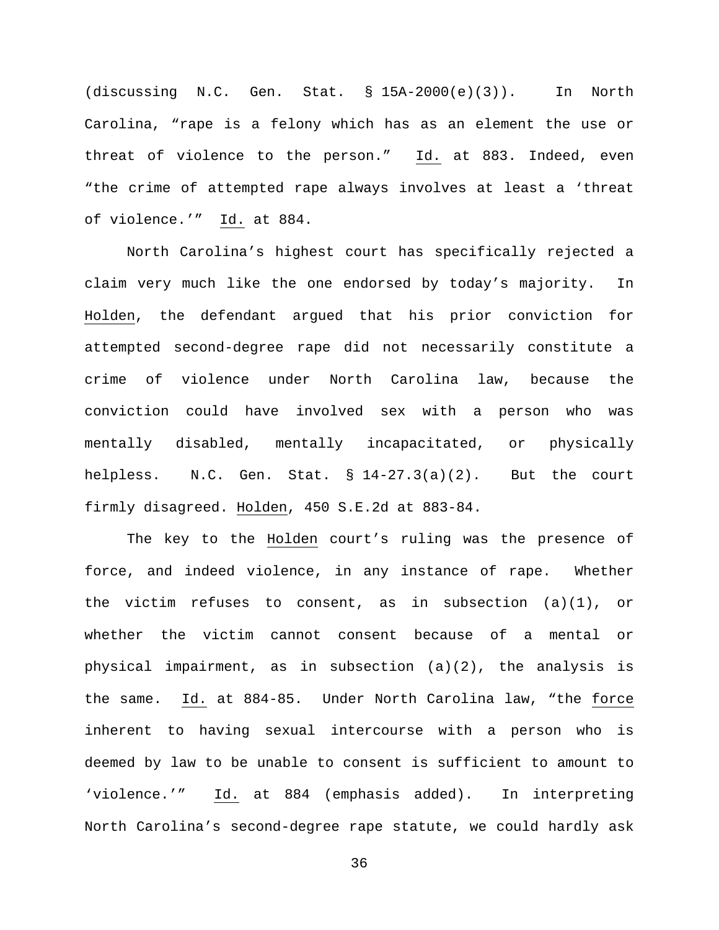(discussing N.C. Gen. Stat. § 15A-2000(e)(3)). In North Carolina, "rape is a felony which has as an element the use or threat of violence to the person." Id. at 883. Indeed, even "the crime of attempted rape always involves at least a 'threat of violence.'" Id. at 884.

North Carolina's highest court has specifically rejected a claim very much like the one endorsed by today's majority. In Holden, the defendant argued that his prior conviction for attempted second-degree rape did not necessarily constitute a crime of violence under North Carolina law, because the conviction could have involved sex with a person who was mentally disabled, mentally incapacitated, or physically helpless. N.C. Gen. Stat. § 14-27.3(a)(2). But the court firmly disagreed. Holden, 450 S.E.2d at 883-84.

The key to the Holden court's ruling was the presence of force, and indeed violence, in any instance of rape. Whether the victim refuses to consent, as in subsection  $(a)(1)$ , or whether the victim cannot consent because of a mental or physical impairment, as in subsection (a)(2), the analysis is the same. Id. at 884-85. Under North Carolina law, "the force inherent to having sexual intercourse with a person who is deemed by law to be unable to consent is sufficient to amount to 'violence.'" Id. at 884 (emphasis added). In interpreting North Carolina's second-degree rape statute, we could hardly ask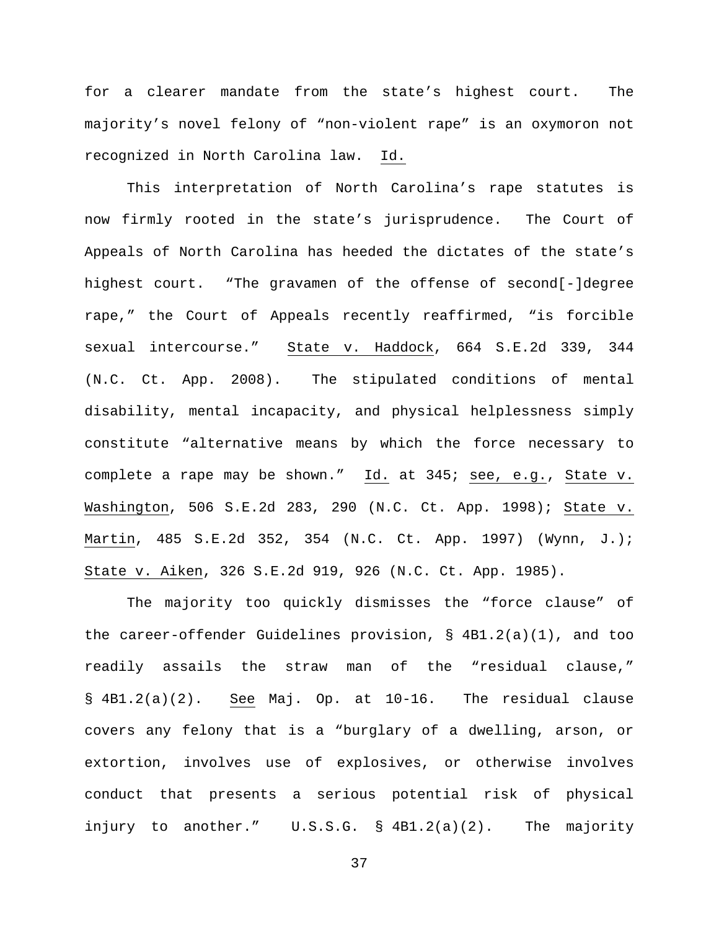for a clearer mandate from the state's highest court. The majority's novel felony of "non-violent rape" is an oxymoron not recognized in North Carolina law. Id.

This interpretation of North Carolina's rape statutes is now firmly rooted in the state's jurisprudence. The Court of Appeals of North Carolina has heeded the dictates of the state's highest court. "The gravamen of the offense of second[-]degree rape," the Court of Appeals recently reaffirmed, "is forcible sexual intercourse." State v. Haddock, 664 S.E.2d 339, 344 (N.C. Ct. App. 2008). The stipulated conditions of mental disability, mental incapacity, and physical helplessness simply constitute "alternative means by which the force necessary to complete a rape may be shown." Id. at 345; see, e.g., State v. Washington, 506 S.E.2d 283, 290 (N.C. Ct. App. 1998); State v. Martin, 485 S.E.2d 352, 354 (N.C. Ct. App. 1997) (Wynn, J.); State v. Aiken, 326 S.E.2d 919, 926 (N.C. Ct. App. 1985).

The majority too quickly dismisses the "force clause" of the career-offender Guidelines provision, § 4B1.2(a)(1), and too readily assails the straw man of the "residual clause," § 4B1.2(a)(2). See Maj. Op. at 10-16. The residual clause covers any felony that is a "burglary of a dwelling, arson, or extortion, involves use of explosives, or otherwise involves conduct that presents a serious potential risk of physical injury to another." U.S.S.G. § 4B1.2(a)(2). The majority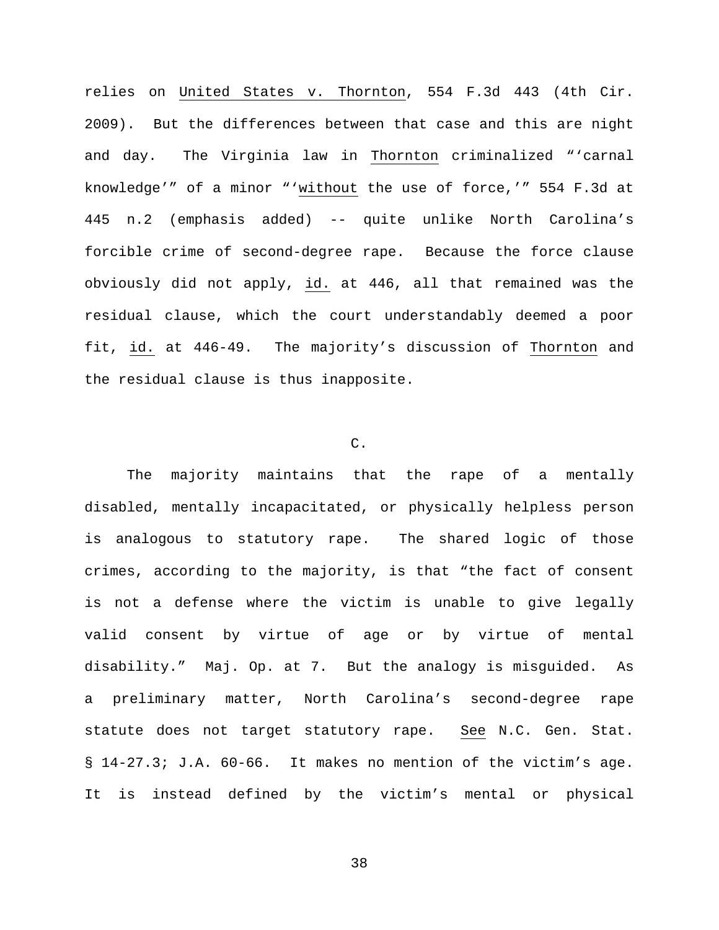relies on United States v. Thornton, 554 F.3d 443 (4th Cir. 2009). But the differences between that case and this are night and day. The Virginia law in Thornton criminalized "'carnal knowledge'" of a minor "'without the use of force,'" 554 F.3d at 445 n.2 (emphasis added) -- quite unlike North Carolina's forcible crime of second-degree rape. Because the force clause obviously did not apply, id. at 446, all that remained was the residual clause, which the court understandably deemed a poor fit, id. at 446-49. The majority's discussion of Thornton and the residual clause is thus inapposite.

## C.

The majority maintains that the rape of a mentally disabled, mentally incapacitated, or physically helpless person is analogous to statutory rape. The shared logic of those crimes, according to the majority, is that "the fact of consent is not a defense where the victim is unable to give legally valid consent by virtue of age or by virtue of mental disability." Maj. Op. at 7. But the analogy is misguided. As a preliminary matter, North Carolina's second-degree rape statute does not target statutory rape. See N.C. Gen. Stat. § 14-27.3; J.A. 60-66. It makes no mention of the victim's age. It is instead defined by the victim's mental or physical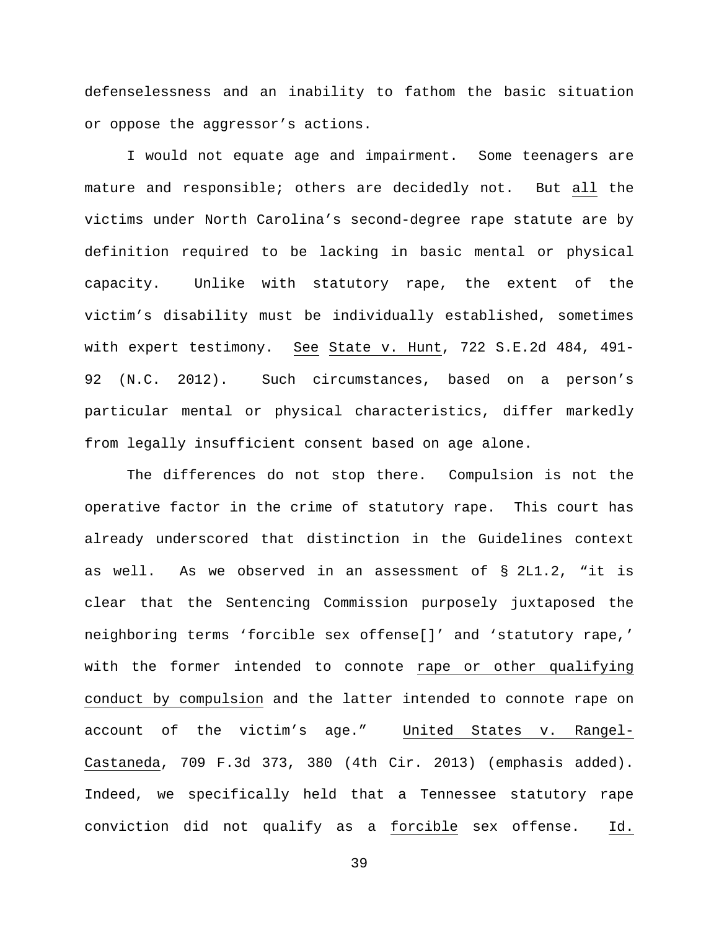defenselessness and an inability to fathom the basic situation or oppose the aggressor's actions.

I would not equate age and impairment. Some teenagers are mature and responsible; others are decidedly not. But all the victims under North Carolina's second-degree rape statute are by definition required to be lacking in basic mental or physical capacity. Unlike with statutory rape, the extent of the victim's disability must be individually established, sometimes with expert testimony. See State v. Hunt, 722 S.E.2d 484, 491- 92 (N.C. 2012). Such circumstances, based on a person's particular mental or physical characteristics, differ markedly from legally insufficient consent based on age alone.

The differences do not stop there. Compulsion is not the operative factor in the crime of statutory rape. This court has already underscored that distinction in the Guidelines context as well. As we observed in an assessment of § 2L1.2, "it is clear that the Sentencing Commission purposely juxtaposed the neighboring terms 'forcible sex offense[]' and 'statutory rape,' with the former intended to connote rape or other qualifying conduct by compulsion and the latter intended to connote rape on account of the victim's age." United States v. Rangel-Castaneda, 709 F.3d 373, 380 (4th Cir. 2013) (emphasis added). Indeed, we specifically held that a Tennessee statutory rape conviction did not qualify as a forcible sex offense. Id.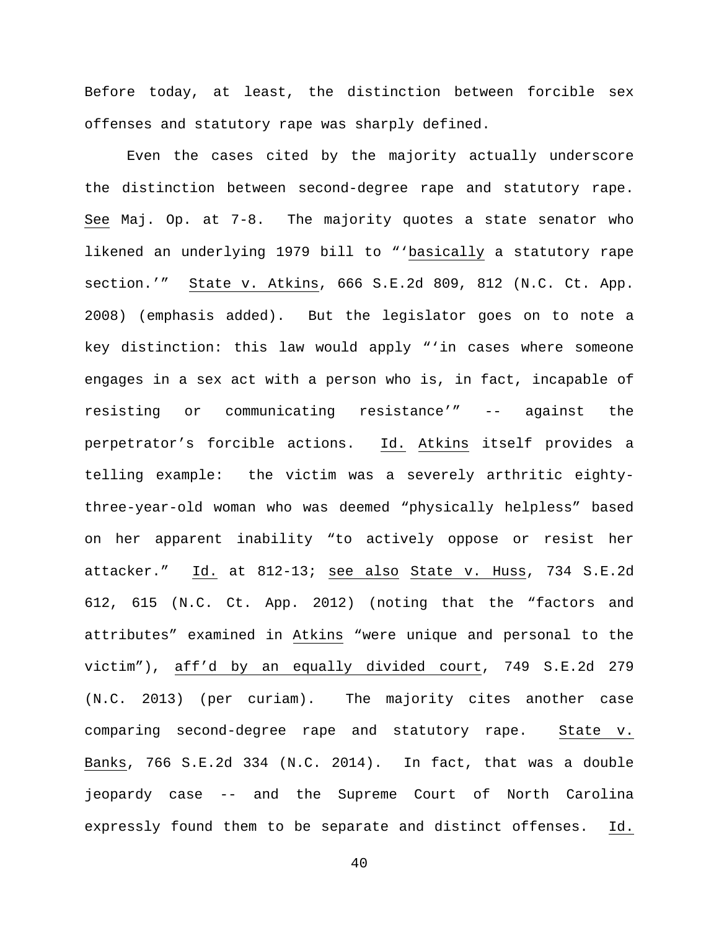Before today, at least, the distinction between forcible sex offenses and statutory rape was sharply defined.

Even the cases cited by the majority actually underscore the distinction between second-degree rape and statutory rape. See Maj. Op. at 7-8. The majority quotes a state senator who likened an underlying 1979 bill to "'basically a statutory rape section.'" State v. Atkins, 666 S.E.2d 809, 812 (N.C. Ct. App. 2008) (emphasis added). But the legislator goes on to note a key distinction: this law would apply "'in cases where someone engages in a sex act with a person who is, in fact, incapable of resisting or communicating resistance'" -- against the perpetrator's forcible actions. Id. Atkins itself provides a telling example: the victim was a severely arthritic eightythree-year-old woman who was deemed "physically helpless" based on her apparent inability "to actively oppose or resist her attacker." Id. at 812-13; see also State v. Huss, 734 S.E.2d 612, 615 (N.C. Ct. App. 2012) (noting that the "factors and attributes" examined in Atkins "were unique and personal to the victim"), aff'd by an equally divided court, 749 S.E.2d 279 (N.C. 2013) (per curiam). The majority cites another case comparing second-degree rape and statutory rape. State v. Banks, 766 S.E.2d 334 (N.C. 2014). In fact, that was a double jeopardy case -- and the Supreme Court of North Carolina expressly found them to be separate and distinct offenses. Id.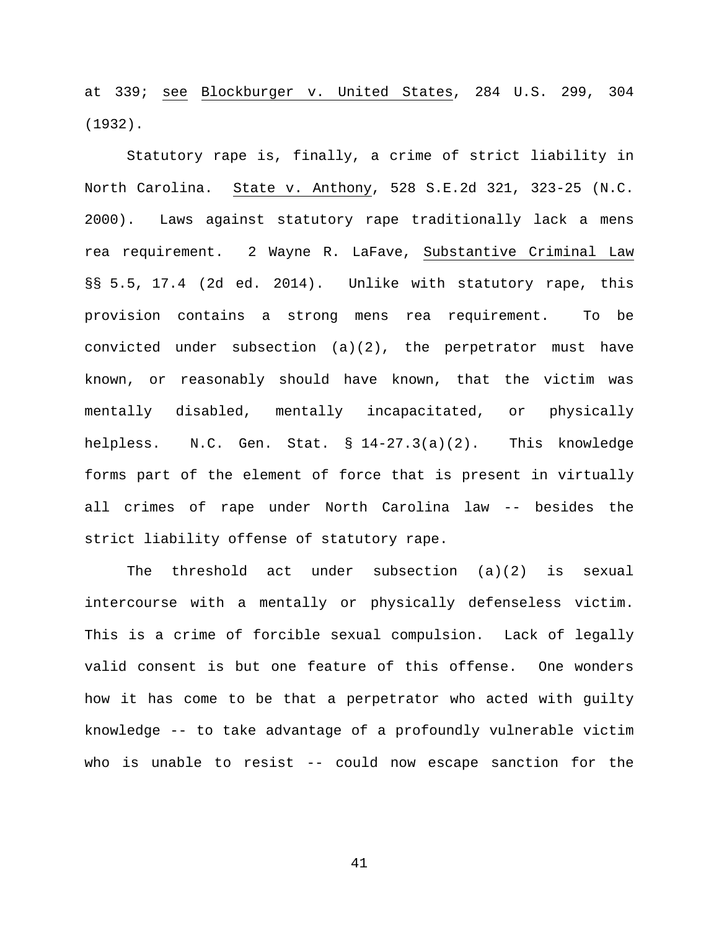at 339; see Blockburger v. United States, 284 U.S. 299, 304 (1932).

Statutory rape is, finally, a crime of strict liability in North Carolina. State v. Anthony, 528 S.E.2d 321, 323-25 (N.C. 2000). Laws against statutory rape traditionally lack a mens rea requirement. 2 Wayne R. LaFave, Substantive Criminal Law §§ 5.5, 17.4 (2d ed. 2014). Unlike with statutory rape, this provision contains a strong mens rea requirement. To be convicted under subsection (a)(2), the perpetrator must have known, or reasonably should have known, that the victim was mentally disabled, mentally incapacitated, or physically helpless. N.C. Gen. Stat. § 14-27.3(a)(2). This knowledge forms part of the element of force that is present in virtually all crimes of rape under North Carolina law -- besides the strict liability offense of statutory rape.

The threshold act under subsection (a)(2) is sexual intercourse with a mentally or physically defenseless victim. This is a crime of forcible sexual compulsion. Lack of legally valid consent is but one feature of this offense. One wonders how it has come to be that a perpetrator who acted with guilty knowledge -- to take advantage of a profoundly vulnerable victim who is unable to resist -- could now escape sanction for the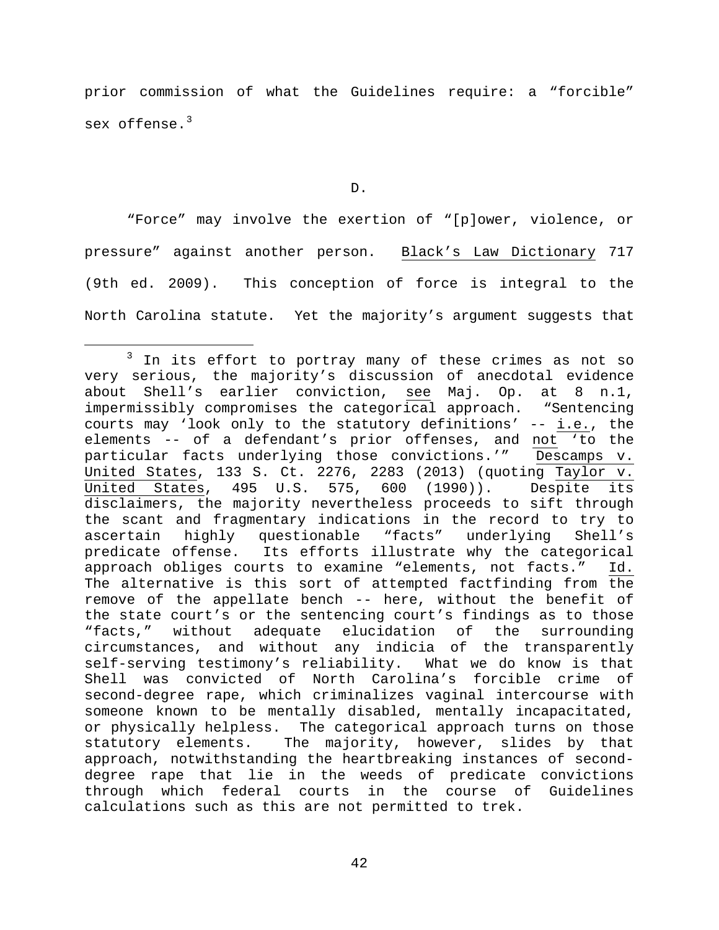prior commission of what the Guidelines require: a "forcible" sex offense. $3$ 

"Force" may involve the exertion of "[p]ower, violence, or pressure" against another person. Black's Law Dictionary 717 (9th ed. 2009). This conception of force is integral to the North Carolina statute. Yet the majority's argument suggests that

D.

<span id="page-41-0"></span><sup>&</sup>lt;sup>3</sup> In its effort to portray many of these crimes as not so very serious, the majority's discussion of anecdotal evidence about Shell's earlier conviction, see Maj. Op. at 8 n.1,<br>impermissibly compromises the categorical approach. "Sentencing impermissibly compromises the categorical approach. courts may 'look only to the statutory definitions' -- i.e., the elements -- of a defendant's prior offenses, and not 'to the particular facts underlying those convictions.'" Descamps v. United States, 133 S. Ct. 2276, 2283 (2013) (quoting  $\frac{Taylor}{x}$ .<br>United States, 495 U.S. 575, 600 (1990)). Despite its 495 U.S. 575, 600 (1990)). disclaimers, the majority nevertheless proceeds to sift through the scant and fragmentary indications in the record to try to<br>ascertain highly questionable "facts" underlying Shell's ascertain highly questionable "facts" underlying Shell's<br>predicate offense. Its efforts illustrate why the categorical Its efforts illustrate why the categorical approach obliges courts to examine "elements, not facts." Id. The alternative is this sort of attempted factfinding from the remove of the appellate bench -- here, without the benefit of the state court's or the sentencing court's findings as to those "facts," without adequate elucidation of the surrounding circumstances, and without any indicia of the transparently<br>self-serving testimony's reliability. What we do know is that self-serving testimony's reliability. Shell was convicted of North Carolina's forcible crime of second-degree rape, which criminalizes vaginal intercourse with someone known to be mentally disabled, mentally incapacitated, or physically helpless. The categorical approach turns on those statutory elements. The majority, however, slides by that approach, notwithstanding the heartbreaking instances of seconddegree rape that lie in the weeds of predicate convictions through which federal courts in the course of Guidelines calculations such as this are not permitted to trek.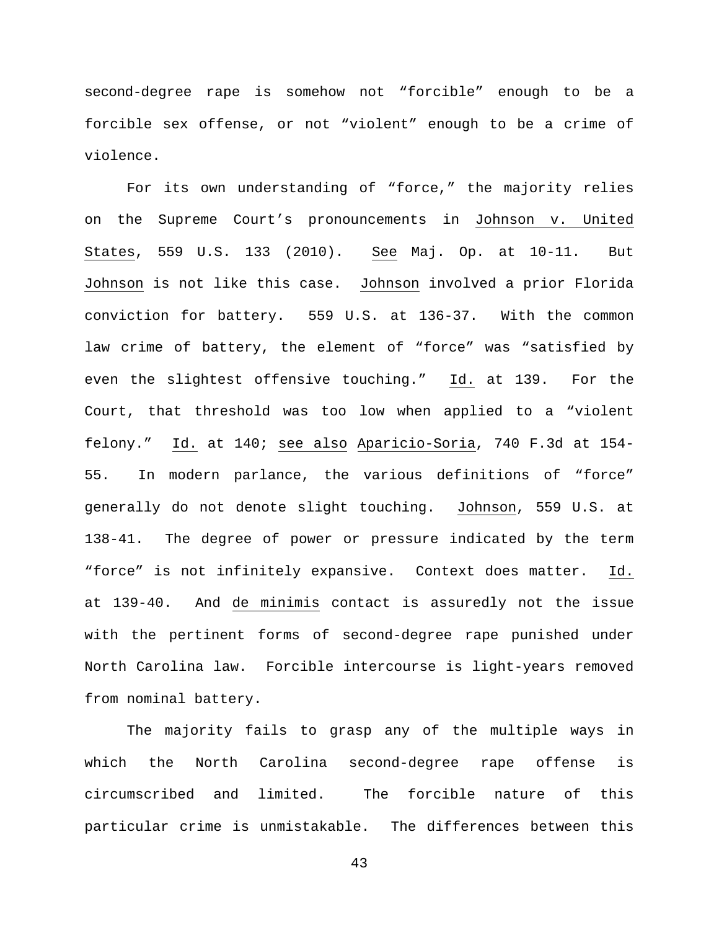second-degree rape is somehow not "forcible" enough to be a forcible sex offense, or not "violent" enough to be a crime of violence.

For its own understanding of "force," the majority relies on the Supreme Court's pronouncements in Johnson v. United States, 559 U.S. 133 (2010). See Maj. Op. at 10-11. But Johnson is not like this case. Johnson involved a prior Florida conviction for battery. 559 U.S. at 136-37. With the common law crime of battery, the element of "force" was "satisfied by even the slightest offensive touching." Id. at 139. For the Court, that threshold was too low when applied to a "violent felony." Id. at 140; see also Aparicio-Soria, 740 F.3d at 154- 55. In modern parlance, the various definitions of "force" generally do not denote slight touching. Johnson, 559 U.S. at 138-41. The degree of power or pressure indicated by the term "force" is not infinitely expansive. Context does matter. Id. at 139-40. And de minimis contact is assuredly not the issue with the pertinent forms of second-degree rape punished under North Carolina law. Forcible intercourse is light-years removed from nominal battery.

The majority fails to grasp any of the multiple ways in which the North Carolina second-degree rape offense is circumscribed and limited. The forcible nature of this particular crime is unmistakable. The differences between this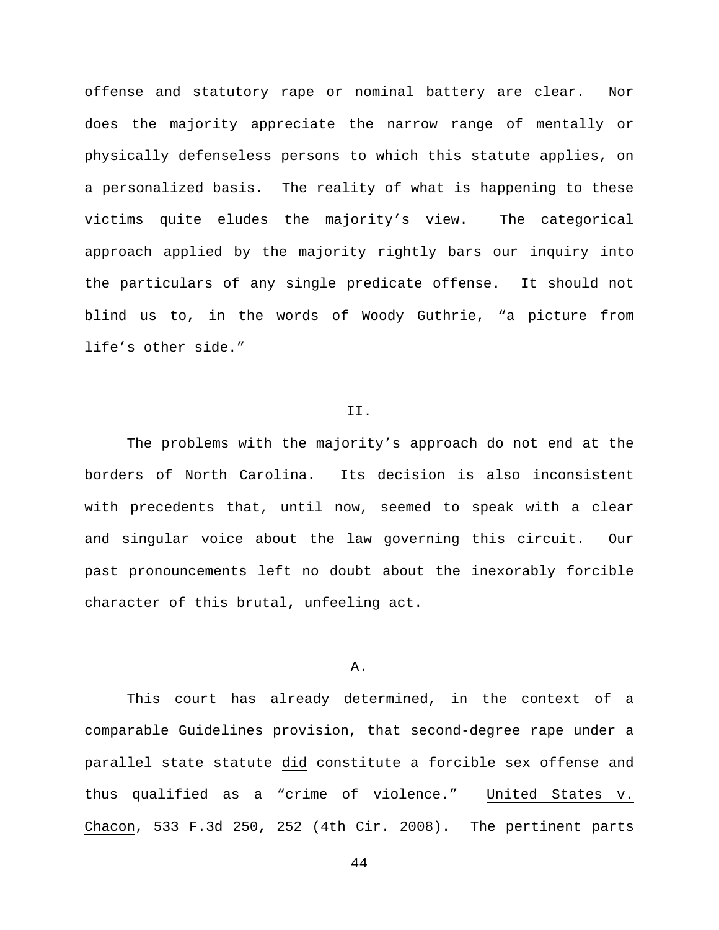offense and statutory rape or nominal battery are clear. Nor does the majority appreciate the narrow range of mentally or physically defenseless persons to which this statute applies, on a personalized basis. The reality of what is happening to these victims quite eludes the majority's view. The categorical approach applied by the majority rightly bars our inquiry into the particulars of any single predicate offense. It should not blind us to, in the words of Woody Guthrie, "a picture from life's other side."

### II.

The problems with the majority's approach do not end at the borders of North Carolina. Its decision is also inconsistent with precedents that, until now, seemed to speak with a clear and singular voice about the law governing this circuit. Our past pronouncements left no doubt about the inexorably forcible character of this brutal, unfeeling act.

# A.

This court has already determined, in the context of a comparable Guidelines provision, that second-degree rape under a parallel state statute did constitute a forcible sex offense and thus qualified as a "crime of violence." United States v. Chacon, 533 F.3d 250, 252 (4th Cir. 2008). The pertinent parts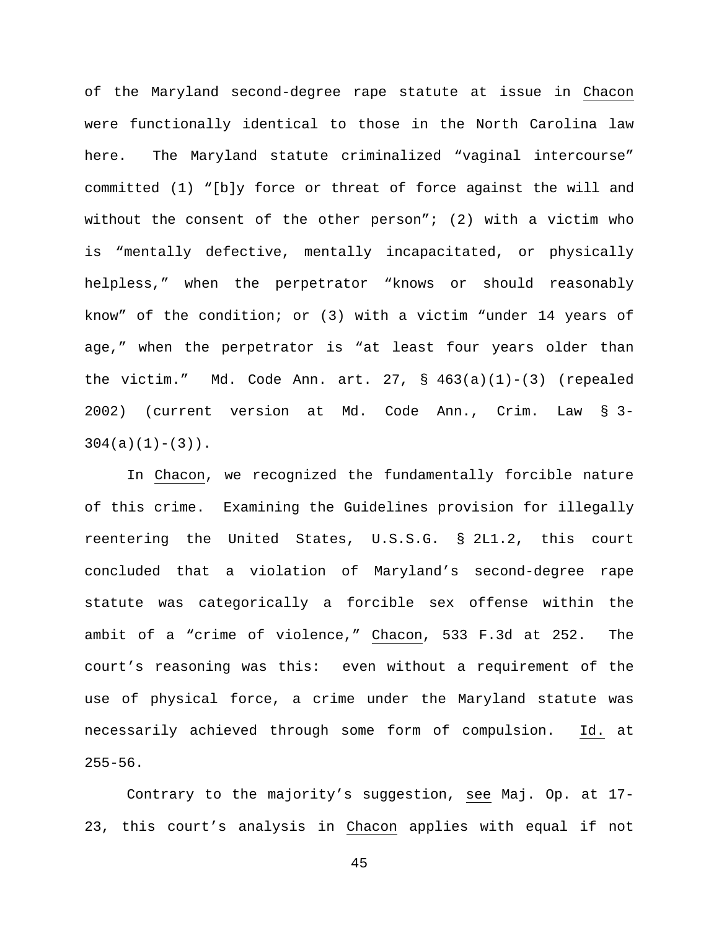of the Maryland second-degree rape statute at issue in Chacon were functionally identical to those in the North Carolina law here. The Maryland statute criminalized "vaginal intercourse" committed (1) "[b]y force or threat of force against the will and without the consent of the other person"; (2) with a victim who is "mentally defective, mentally incapacitated, or physically helpless," when the perpetrator "knows or should reasonably know" of the condition; or (3) with a victim "under 14 years of age," when the perpetrator is "at least four years older than the victim." Md. Code Ann. art. 27, §  $463(a)(1)-(3)$  (repealed 2002) (current version at Md. Code Ann., Crim. Law § 3-  $304(a)(1)-(3)$ .

In Chacon, we recognized the fundamentally forcible nature of this crime. Examining the Guidelines provision for illegally reentering the United States, U.S.S.G. § 2L1.2, this court concluded that a violation of Maryland's second-degree rape statute was categorically a forcible sex offense within the ambit of a "crime of violence," Chacon, 533 F.3d at 252. The court's reasoning was this: even without a requirement of the use of physical force, a crime under the Maryland statute was necessarily achieved through some form of compulsion. Id. at  $255 - 56$ .

Contrary to the majority's suggestion, see Maj. Op. at 17- 23, this court's analysis in Chacon applies with equal if not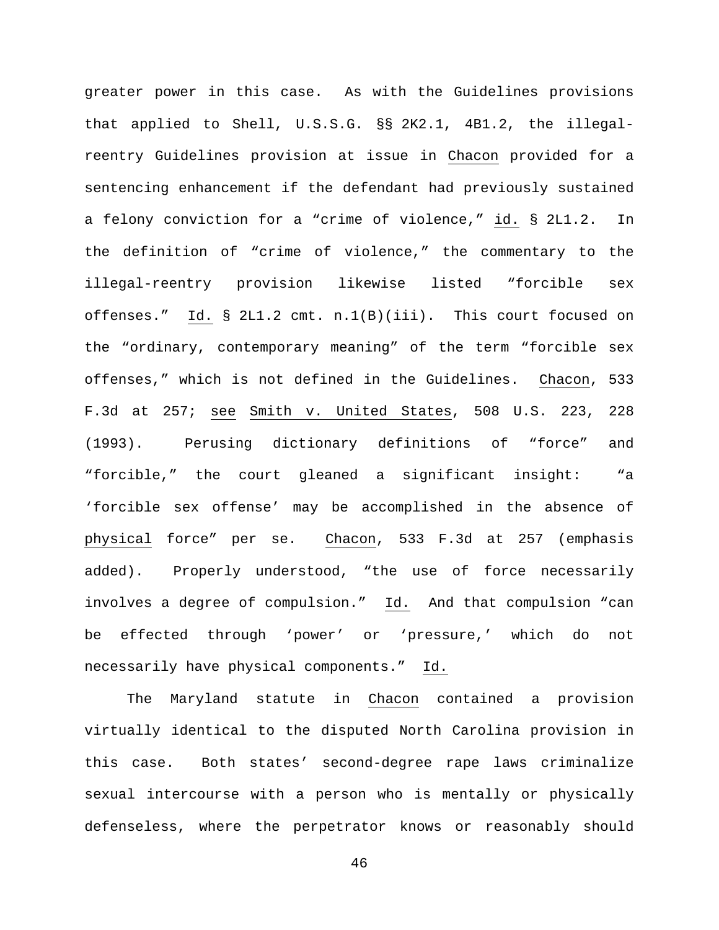greater power in this case. As with the Guidelines provisions that applied to Shell, U.S.S.G. §§ 2K2.1, 4B1.2, the illegalreentry Guidelines provision at issue in Chacon provided for a sentencing enhancement if the defendant had previously sustained a felony conviction for a "crime of violence," id. § 2L1.2. In the definition of "crime of violence," the commentary to the illegal-reentry provision likewise listed "forcible sex offenses." Id. § 2L1.2 cmt. n.1(B)(iii). This court focused on the "ordinary, contemporary meaning" of the term "forcible sex offenses," which is not defined in the Guidelines. Chacon, 533 F.3d at 257; see Smith v. United States, 508 U.S. 223, 228 (1993). Perusing dictionary definitions of "force" and "forcible," the court gleaned a significant insight: "a 'forcible sex offense' may be accomplished in the absence of physical force" per se. Chacon, 533 F.3d at 257 (emphasis added). Properly understood, "the use of force necessarily involves a degree of compulsion." Id. And that compulsion "can be effected through 'power' or 'pressure,' which do not necessarily have physical components." Id.

The Maryland statute in Chacon contained a provision virtually identical to the disputed North Carolina provision in this case. Both states' second-degree rape laws criminalize sexual intercourse with a person who is mentally or physically defenseless, where the perpetrator knows or reasonably should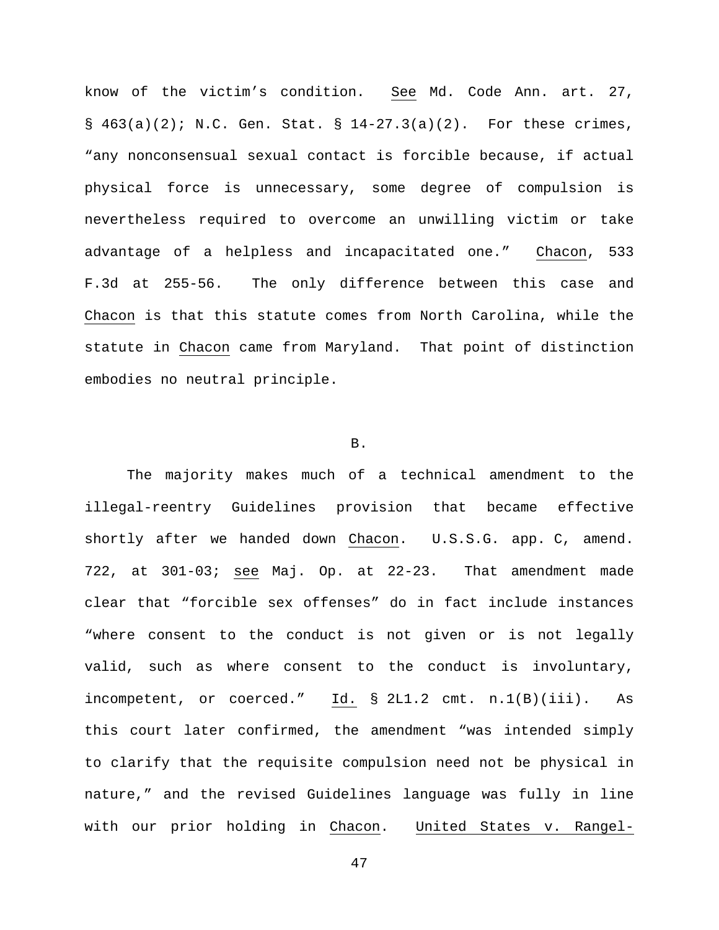know of the victim's condition. See Md. Code Ann. art. 27, §  $463(a)(2)$ ; N.C. Gen. Stat. §  $14-27.3(a)(2)$ . For these crimes, "any nonconsensual sexual contact is forcible because, if actual physical force is unnecessary, some degree of compulsion is nevertheless required to overcome an unwilling victim or take advantage of a helpless and incapacitated one." Chacon, 533 F.3d at 255-56. The only difference between this case and Chacon is that this statute comes from North Carolina, while the statute in Chacon came from Maryland. That point of distinction embodies no neutral principle.

### B.

The majority makes much of a technical amendment to the illegal-reentry Guidelines provision that became effective shortly after we handed down Chacon. U.S.S.G. app. C, amend. 722, at 301-03; see Maj. Op. at 22-23. That amendment made clear that "forcible sex offenses" do in fact include instances "where consent to the conduct is not given or is not legally valid, such as where consent to the conduct is involuntary, incompetent, or coerced." Id. § 2L1.2 cmt. n.1(B)(iii). As this court later confirmed, the amendment "was intended simply to clarify that the requisite compulsion need not be physical in nature," and the revised Guidelines language was fully in line with our prior holding in Chacon. United States v. Rangel-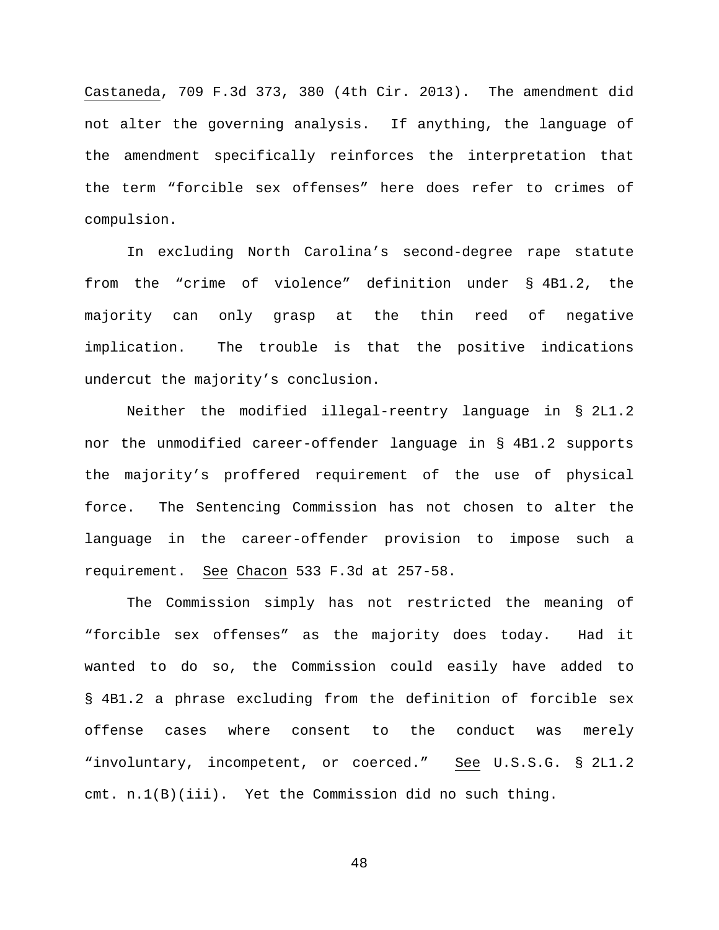Castaneda, 709 F.3d 373, 380 (4th Cir. 2013). The amendment did not alter the governing analysis. If anything, the language of the amendment specifically reinforces the interpretation that the term "forcible sex offenses" here does refer to crimes of compulsion.

In excluding North Carolina's second-degree rape statute from the "crime of violence" definition under § 4B1.2, the majority can only grasp at the thin reed of negative implication. The trouble is that the positive indications undercut the majority's conclusion.

Neither the modified illegal-reentry language in § 2L1.2 nor the unmodified career-offender language in § 4B1.2 supports the majority's proffered requirement of the use of physical force. The Sentencing Commission has not chosen to alter the language in the career-offender provision to impose such a requirement. See Chacon 533 F.3d at 257-58.

The Commission simply has not restricted the meaning of "forcible sex offenses" as the majority does today. Had it wanted to do so, the Commission could easily have added to § 4B1.2 a phrase excluding from the definition of forcible sex offense cases where consent to the conduct was merely "involuntary, incompetent, or coerced." See U.S.S.G. § 2L1.2 cmt. n.1(B)(iii). Yet the Commission did no such thing.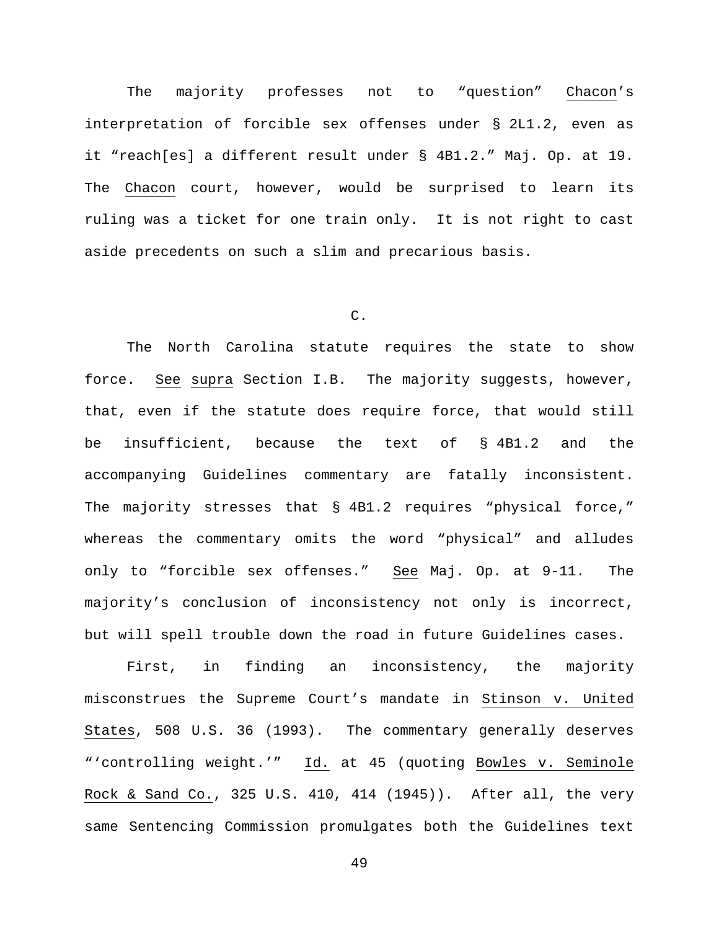The majority professes not to "question" Chacon's interpretation of forcible sex offenses under § 2L1.2, even as it "reach[es] a different result under § 4B1.2." Maj. Op. at 19. The Chacon court, however, would be surprised to learn its ruling was a ticket for one train only. It is not right to cast aside precedents on such a slim and precarious basis.

# C.

The North Carolina statute requires the state to show force. See supra Section I.B. The majority suggests, however, that, even if the statute does require force, that would still be insufficient, because the text of § 4B1.2 and the accompanying Guidelines commentary are fatally inconsistent. The majority stresses that § 4B1.2 requires "physical force," whereas the commentary omits the word "physical" and alludes only to "forcible sex offenses." See Maj. Op. at 9-11. The majority's conclusion of inconsistency not only is incorrect, but will spell trouble down the road in future Guidelines cases.

First, in finding an inconsistency, the majority misconstrues the Supreme Court's mandate in Stinson v. United States, 508 U.S. 36 (1993). The commentary generally deserves "'controlling weight.'" Id. at 45 (quoting Bowles v. Seminole Rock & Sand Co., 325 U.S. 410, 414 (1945)). After all, the very same Sentencing Commission promulgates both the Guidelines text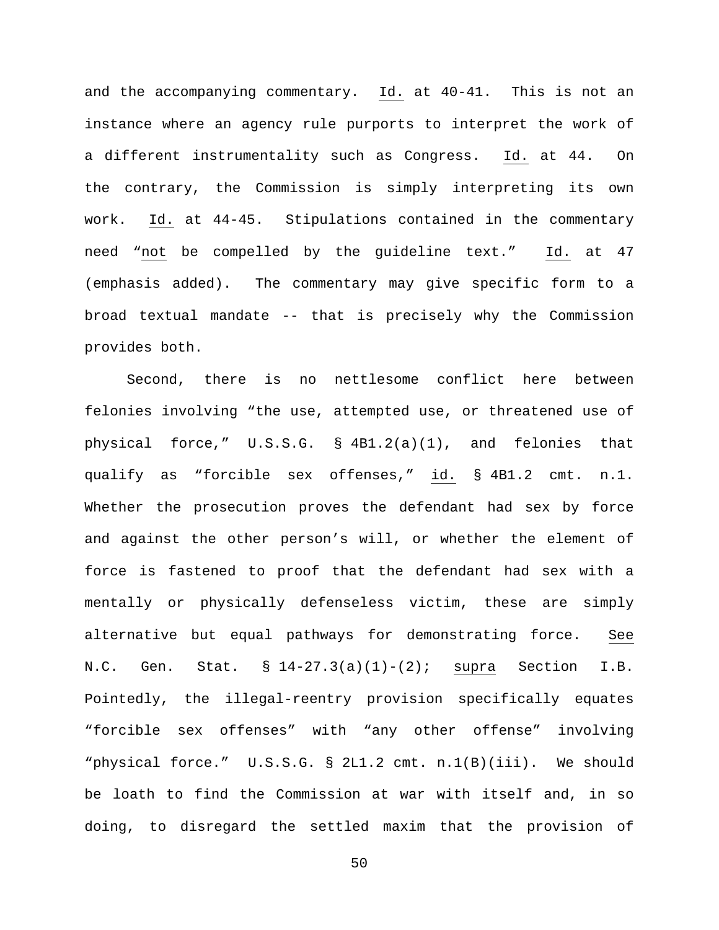and the accompanying commentary. Id. at 40-41. This is not an instance where an agency rule purports to interpret the work of a different instrumentality such as Congress. Id. at 44. On the contrary, the Commission is simply interpreting its own work. Id. at 44-45. Stipulations contained in the commentary need "not be compelled by the guideline text." Id. at 47 (emphasis added). The commentary may give specific form to a broad textual mandate -- that is precisely why the Commission provides both.

Second, there is no nettlesome conflict here between felonies involving "the use, attempted use, or threatened use of physical force," U.S.S.G. § 4B1.2(a)(1), and felonies that qualify as "forcible sex offenses," id. § 4B1.2 cmt. n.1. Whether the prosecution proves the defendant had sex by force and against the other person's will, or whether the element of force is fastened to proof that the defendant had sex with a mentally or physically defenseless victim, these are simply alternative but equal pathways for demonstrating force. See N.C. Gen. Stat.  $\S 14-27.3(a)(1)-(2)$ ; supra Section I.B. Pointedly, the illegal-reentry provision specifically equates "forcible sex offenses" with "any other offense" involving "physical force." U.S.S.G. § 2L1.2 cmt. n.1(B)(iii). We should be loath to find the Commission at war with itself and, in so doing, to disregard the settled maxim that the provision of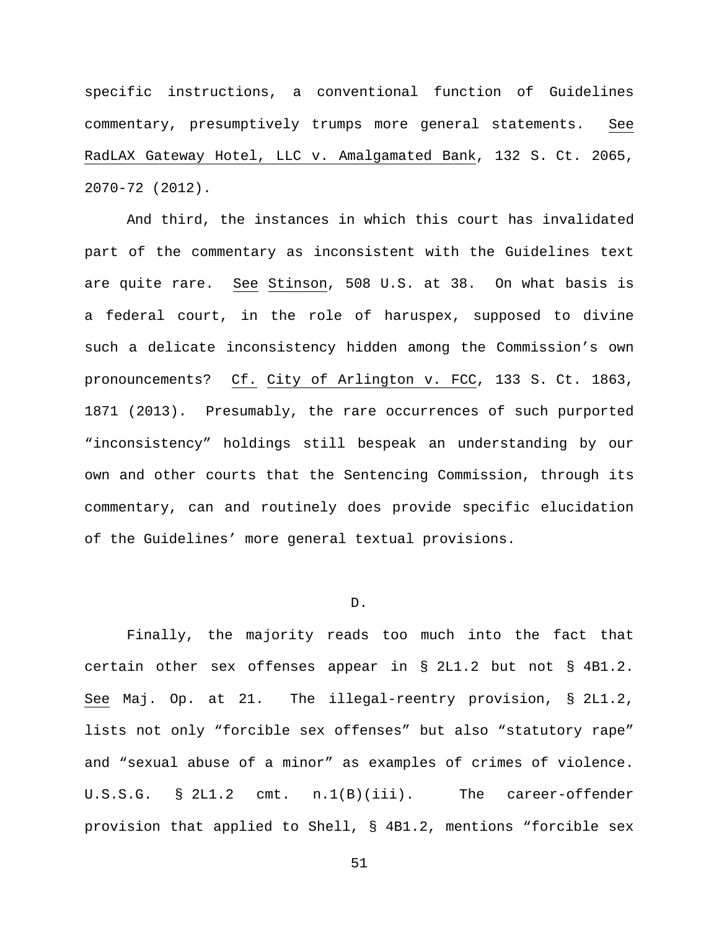specific instructions, a conventional function of Guidelines commentary, presumptively trumps more general statements. See RadLAX Gateway Hotel, LLC v. Amalgamated Bank, 132 S. Ct. 2065, 2070-72 (2012).

And third, the instances in which this court has invalidated part of the commentary as inconsistent with the Guidelines text are quite rare. See Stinson, 508 U.S. at 38. On what basis is a federal court, in the role of haruspex, supposed to divine such a delicate inconsistency hidden among the Commission's own pronouncements? Cf. City of Arlington v. FCC, 133 S. Ct. 1863, 1871 (2013). Presumably, the rare occurrences of such purported "inconsistency" holdings still bespeak an understanding by our own and other courts that the Sentencing Commission, through its commentary, can and routinely does provide specific elucidation of the Guidelines' more general textual provisions.

### D.

Finally, the majority reads too much into the fact that certain other sex offenses appear in § 2L1.2 but not § 4B1.2. See Maj. Op. at 21. The illegal-reentry provision, § 2L1.2, lists not only "forcible sex offenses" but also "statutory rape" and "sexual abuse of a minor" as examples of crimes of violence. U.S.S.G. § 2L1.2 cmt. n.1(B)(iii). The career-offender provision that applied to Shell, § 4B1.2, mentions "forcible sex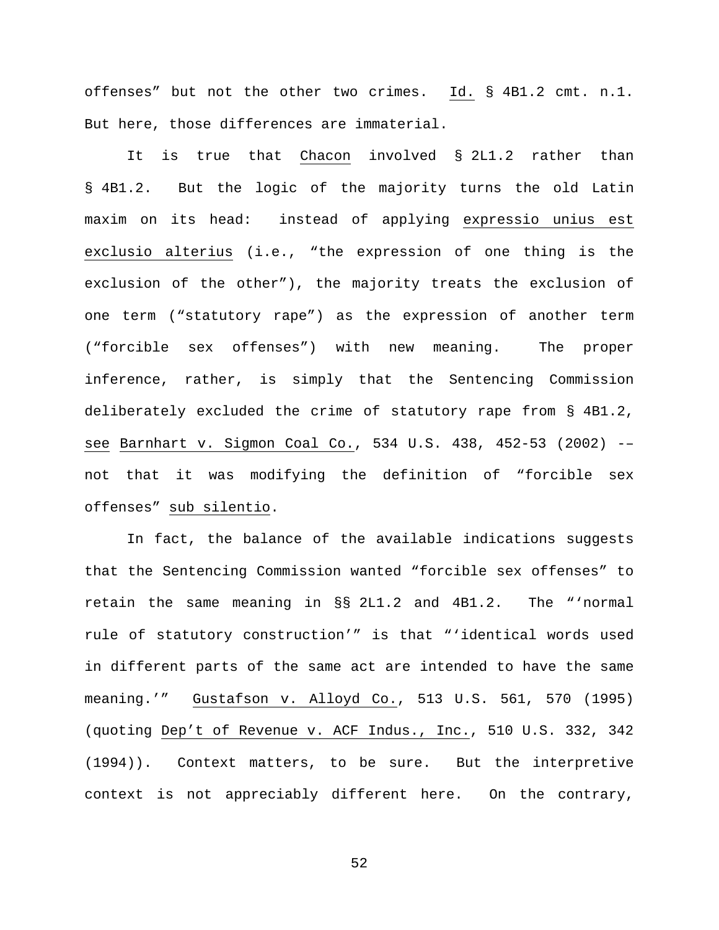offenses" but not the other two crimes. Id. § 4B1.2 cmt. n.1. But here, those differences are immaterial.

It is true that Chacon involved § 2L1.2 rather than § 4B1.2. But the logic of the majority turns the old Latin maxim on its head: instead of applying expressio unius est exclusio alterius (i.e., "the expression of one thing is the exclusion of the other"), the majority treats the exclusion of one term ("statutory rape") as the expression of another term ("forcible sex offenses") with new meaning. The proper inference, rather, is simply that the Sentencing Commission deliberately excluded the crime of statutory rape from § 4B1.2, see Barnhart v. Sigmon Coal Co., 534 U.S. 438, 452-53 (2002) -– not that it was modifying the definition of "forcible sex offenses" sub silentio.

In fact, the balance of the available indications suggests that the Sentencing Commission wanted "forcible sex offenses" to retain the same meaning in §§ 2L1.2 and 4B1.2. The "'normal rule of statutory construction'" is that "'identical words used in different parts of the same act are intended to have the same meaning.'" Gustafson v. Alloyd Co., 513 U.S. 561, 570 (1995) (quoting Dep't of Revenue v. ACF Indus., Inc., 510 U.S. 332, 342 (1994)). Context matters, to be sure. But the interpretive context is not appreciably different here. On the contrary,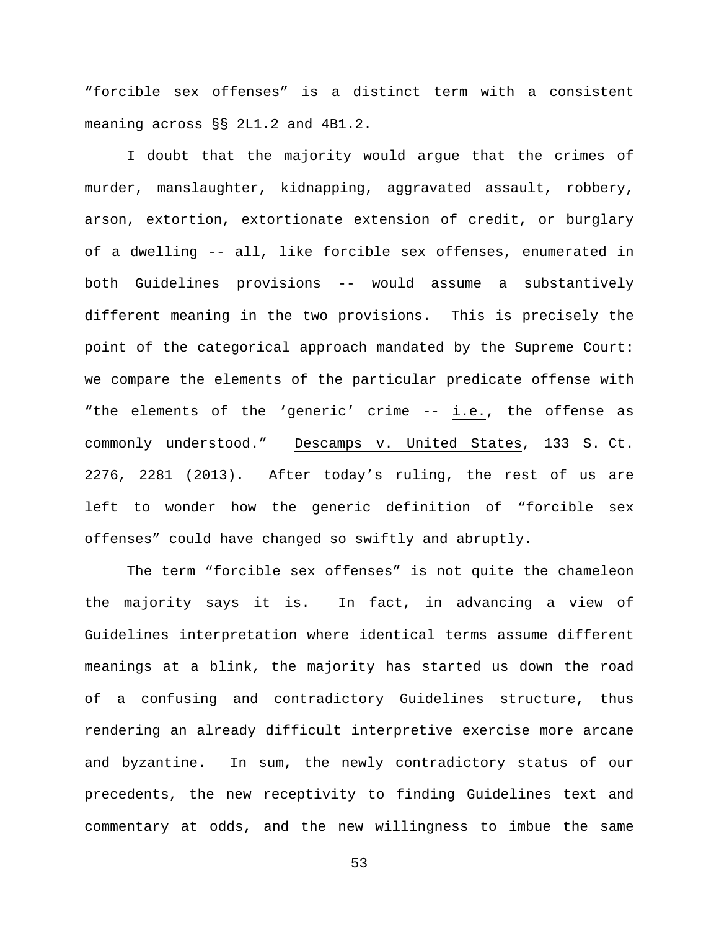"forcible sex offenses" is a distinct term with a consistent meaning across §§ 2L1.2 and 4B1.2.

I doubt that the majority would argue that the crimes of murder, manslaughter, kidnapping, aggravated assault, robbery, arson, extortion, extortionate extension of credit, or burglary of a dwelling -- all, like forcible sex offenses, enumerated in both Guidelines provisions -- would assume a substantively different meaning in the two provisions. This is precisely the point of the categorical approach mandated by the Supreme Court: we compare the elements of the particular predicate offense with "the elements of the 'generic' crime -- i.e., the offense as commonly understood." Descamps v. United States, 133 S. Ct. 2276, 2281 (2013). After today's ruling, the rest of us are left to wonder how the generic definition of "forcible sex offenses" could have changed so swiftly and abruptly.

The term "forcible sex offenses" is not quite the chameleon the majority says it is. In fact, in advancing a view of Guidelines interpretation where identical terms assume different meanings at a blink, the majority has started us down the road of a confusing and contradictory Guidelines structure, thus rendering an already difficult interpretive exercise more arcane and byzantine. In sum, the newly contradictory status of our precedents, the new receptivity to finding Guidelines text and commentary at odds, and the new willingness to imbue the same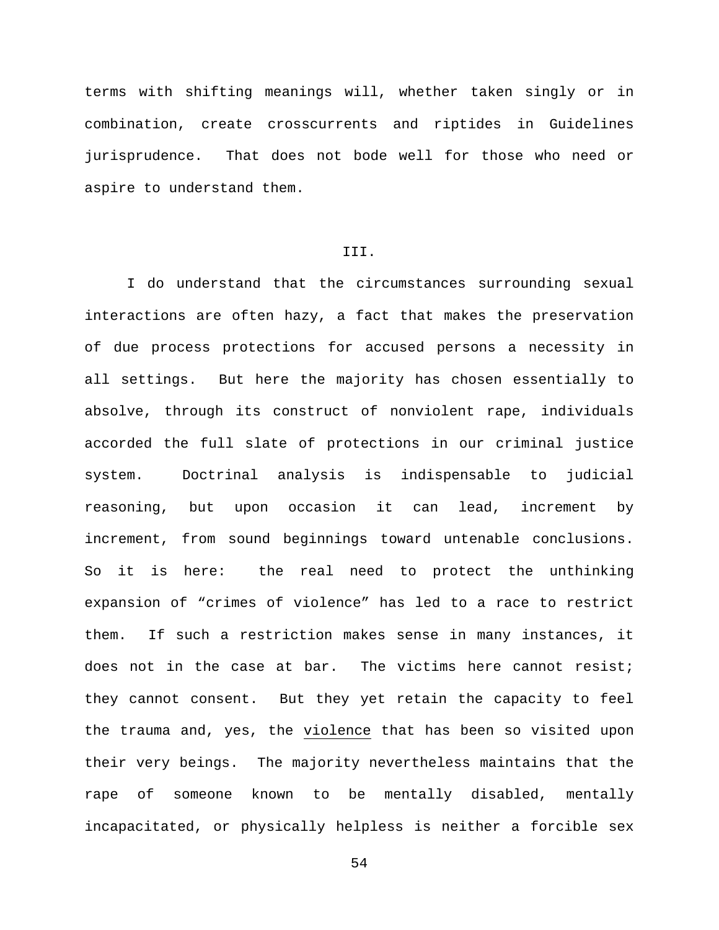terms with shifting meanings will, whether taken singly or in combination, create crosscurrents and riptides in Guidelines jurisprudence. That does not bode well for those who need or aspire to understand them.

## III.

I do understand that the circumstances surrounding sexual interactions are often hazy, a fact that makes the preservation of due process protections for accused persons a necessity in all settings. But here the majority has chosen essentially to absolve, through its construct of nonviolent rape, individuals accorded the full slate of protections in our criminal justice system. Doctrinal analysis is indispensable to judicial reasoning, but upon occasion it can lead, increment by increment, from sound beginnings toward untenable conclusions. So it is here: the real need to protect the unthinking expansion of "crimes of violence" has led to a race to restrict them. If such a restriction makes sense in many instances, it does not in the case at bar. The victims here cannot resist; they cannot consent. But they yet retain the capacity to feel the trauma and, yes, the violence that has been so visited upon their very beings. The majority nevertheless maintains that the rape of someone known to be mentally disabled, mentally incapacitated, or physically helpless is neither a forcible sex